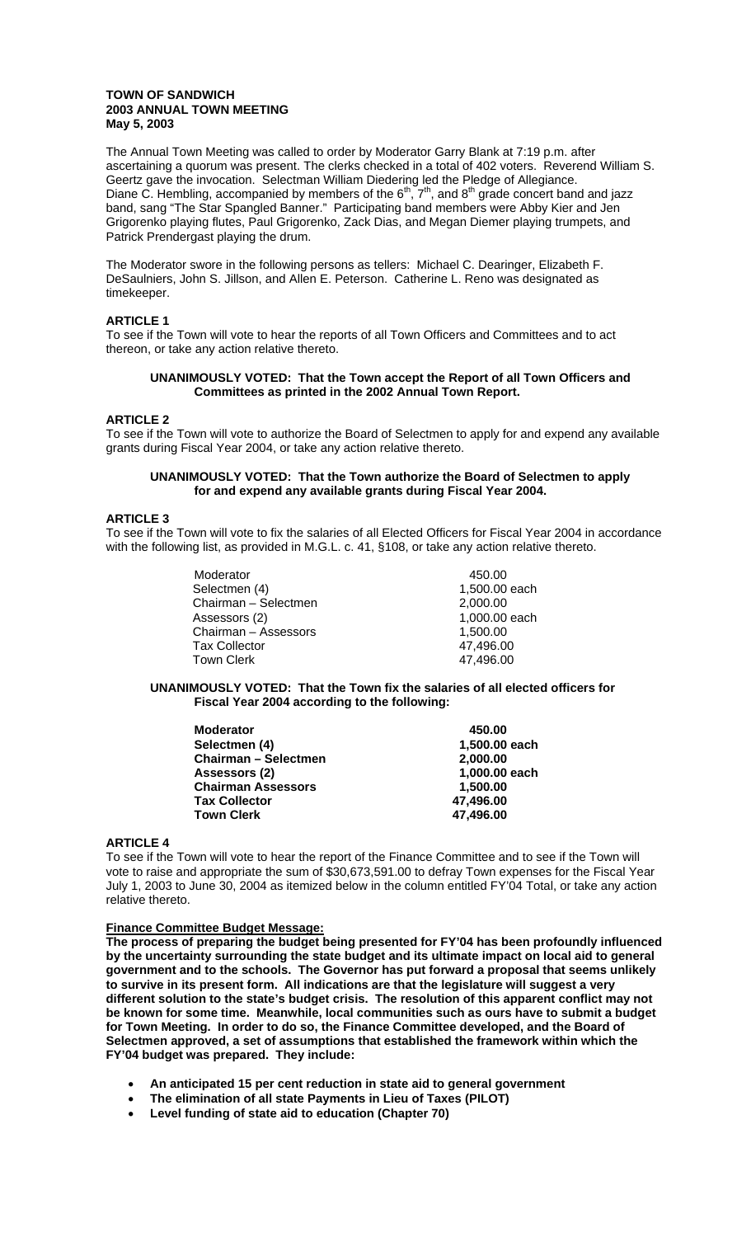## **TOWN OF SANDWICH 2003 ANNUAL TOWN MEETING May 5, 2003**

The Annual Town Meeting was called to order by Moderator Garry Blank at 7:19 p.m. after ascertaining a quorum was present. The clerks checked in a total of 402 voters. Reverend William S. Geertz gave the invocation. Selectman William Diedering led the Pledge of Allegiance. Diane C. Hembling, accompanied by members of the  $6<sup>th</sup>$ ,  $7<sup>th</sup>$ , and  $8<sup>th</sup>$  grade concert band and jazz band, sang "The Star Spangled Banner." Participating band members were Abby Kier and Jen Grigorenko playing flutes, Paul Grigorenko, Zack Dias, and Megan Diemer playing trumpets, and Patrick Prendergast playing the drum.

The Moderator swore in the following persons as tellers: Michael C. Dearinger, Elizabeth F. DeSaulniers, John S. Jillson, and Allen E. Peterson. Catherine L. Reno was designated as timekeeper.

## **ARTICLE 1**

To see if the Town will vote to hear the reports of all Town Officers and Committees and to act thereon, or take any action relative thereto.

## **UNANIMOUSLY VOTED: That the Town accept the Report of all Town Officers and Committees as printed in the 2002 Annual Town Report.**

## **ARTICLE 2**

To see if the Town will vote to authorize the Board of Selectmen to apply for and expend any available grants during Fiscal Year 2004, or take any action relative thereto.

## **UNANIMOUSLY VOTED: That the Town authorize the Board of Selectmen to apply for and expend any available grants during Fiscal Year 2004.**

## **ARTICLE 3**

To see if the Town will vote to fix the salaries of all Elected Officers for Fiscal Year 2004 in accordance with the following list, as provided in M.G.L. c. 41, §108, or take any action relative thereto.

| Moderator<br>Selectmen (4)<br>Chairman - Selectmen<br>Assessors (2)<br>Chairman - Assessors | 450.00<br>1,500.00 each<br>2,000.00<br>1,000.00 each<br>1,500.00 |
|---------------------------------------------------------------------------------------------|------------------------------------------------------------------|
| <b>Tax Collector</b><br><b>Town Clerk</b>                                                   | 47,496.00<br>47,496.00                                           |

## **UNANIMOUSLY VOTED: That the Town fix the salaries of all elected officers for Fiscal Year 2004 according to the following:**

| <b>Moderator</b>            | 450.00        |
|-----------------------------|---------------|
| Selectmen (4)               | 1,500.00 each |
| <b>Chairman - Selectmen</b> | 2,000.00      |
| Assessors (2)               | 1,000.00 each |
| <b>Chairman Assessors</b>   | 1,500.00      |
| <b>Tax Collector</b>        | 47,496.00     |
| <b>Town Clerk</b>           | 47,496.00     |
|                             |               |

## **ARTICLE 4**

To see if the Town will vote to hear the report of the Finance Committee and to see if the Town will vote to raise and appropriate the sum of \$30,673,591.00 to defray Town expenses for the Fiscal Year July 1, 2003 to June 30, 2004 as itemized below in the column entitled FY'04 Total, or take any action relative thereto.

## **Finance Committee Budget Message:**

**The process of preparing the budget being presented for FY'04 has been profoundly influenced by the uncertainty surrounding the state budget and its ultimate impact on local aid to general government and to the schools. The Governor has put forward a proposal that seems unlikely to survive in its present form. All indications are that the legislature will suggest a very different solution to the state's budget crisis. The resolution of this apparent conflict may not be known for some time. Meanwhile, local communities such as ours have to submit a budget for Town Meeting. In order to do so, the Finance Committee developed, and the Board of Selectmen approved, a set of assumptions that established the framework within which the FY'04 budget was prepared. They include:** 

- **An anticipated 15 per cent reduction in state aid to general government**
- **The elimination of all state Payments in Lieu of Taxes (PILOT)**
- **Level funding of state aid to education (Chapter 70)**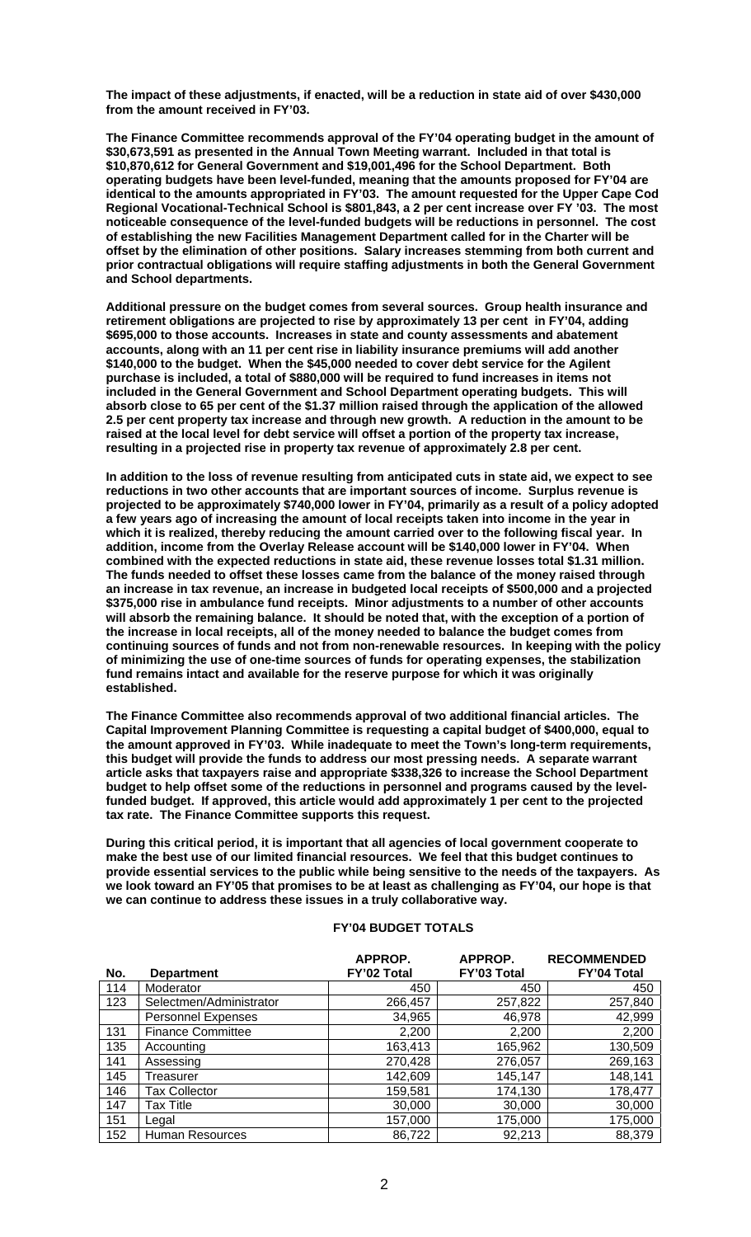**The impact of these adjustments, if enacted, will be a reduction in state aid of over \$430,000 from the amount received in FY'03.** 

**The Finance Committee recommends approval of the FY'04 operating budget in the amount of \$30,673,591 as presented in the Annual Town Meeting warrant. Included in that total is \$10,870,612 for General Government and \$19,001,496 for the School Department. Both operating budgets have been level-funded, meaning that the amounts proposed for FY'04 are identical to the amounts appropriated in FY'03. The amount requested for the Upper Cape Cod Regional Vocational-Technical School is \$801,843, a 2 per cent increase over FY '03. The most noticeable consequence of the level-funded budgets will be reductions in personnel. The cost of establishing the new Facilities Management Department called for in the Charter will be offset by the elimination of other positions. Salary increases stemming from both current and prior contractual obligations will require staffing adjustments in both the General Government and School departments.** 

**Additional pressure on the budget comes from several sources. Group health insurance and retirement obligations are projected to rise by approximately 13 per cent in FY'04, adding \$695,000 to those accounts. Increases in state and county assessments and abatement accounts, along with an 11 per cent rise in liability insurance premiums will add another \$140,000 to the budget. When the \$45,000 needed to cover debt service for the Agilent purchase is included, a total of \$880,000 will be required to fund increases in items not included in the General Government and School Department operating budgets. This will absorb close to 65 per cent of the \$1.37 million raised through the application of the allowed 2.5 per cent property tax increase and through new growth. A reduction in the amount to be raised at the local level for debt service will offset a portion of the property tax increase, resulting in a projected rise in property tax revenue of approximately 2.8 per cent.** 

**In addition to the loss of revenue resulting from anticipated cuts in state aid, we expect to see reductions in two other accounts that are important sources of income. Surplus revenue is projected to be approximately \$740,000 lower in FY'04, primarily as a result of a policy adopted a few years ago of increasing the amount of local receipts taken into income in the year in which it is realized, thereby reducing the amount carried over to the following fiscal year. In addition, income from the Overlay Release account will be \$140,000 lower in FY'04. When combined with the expected reductions in state aid, these revenue losses total \$1.31 million. The funds needed to offset these losses came from the balance of the money raised through an increase in tax revenue, an increase in budgeted local receipts of \$500,000 and a projected \$375,000 rise in ambulance fund receipts. Minor adjustments to a number of other accounts will absorb the remaining balance. It should be noted that, with the exception of a portion of the increase in local receipts, all of the money needed to balance the budget comes from continuing sources of funds and not from non-renewable resources. In keeping with the policy of minimizing the use of one-time sources of funds for operating expenses, the stabilization fund remains intact and available for the reserve purpose for which it was originally established.** 

**The Finance Committee also recommends approval of two additional financial articles. The Capital Improvement Planning Committee is requesting a capital budget of \$400,000, equal to the amount approved in FY'03. While inadequate to meet the Town's long-term requirements, this budget will provide the funds to address our most pressing needs. A separate warrant article asks that taxpayers raise and appropriate \$338,326 to increase the School Department budget to help offset some of the reductions in personnel and programs caused by the levelfunded budget. If approved, this article would add approximately 1 per cent to the projected tax rate. The Finance Committee supports this request.** 

**During this critical period, it is important that all agencies of local government cooperate to make the best use of our limited financial resources. We feel that this budget continues to provide essential services to the public while being sensitive to the needs of the taxpayers. As we look toward an FY'05 that promises to be at least as challenging as FY'04, our hope is that we can continue to address these issues in a truly collaborative way.** 

## **FY'04 BUDGET TOTALS**

| No. | <b>Department</b>         | APPROP.<br>FY'02 Total | APPROP.<br>FY'03 Total | <b>RECOMMENDED</b><br><b>FY'04 Total</b> |
|-----|---------------------------|------------------------|------------------------|------------------------------------------|
| 114 | Moderator                 | 450                    | 450                    | 450                                      |
| 123 | Selectmen/Administrator   | 266,457                | 257,822                | 257,840                                  |
|     | <b>Personnel Expenses</b> | 34,965                 | 46,978                 | 42,999                                   |
| 131 | <b>Finance Committee</b>  | 2,200                  | 2,200                  | 2,200                                    |
| 135 | Accounting                | 163,413                | 165,962                | 130,509                                  |
| 141 | Assessing                 | 270,428                | 276,057                | 269,163                                  |
| 145 | Treasurer                 | 142,609                | 145,147                | 148,141                                  |
| 146 | <b>Tax Collector</b>      | 159,581                | 174,130                | 178,477                                  |
| 147 | Tax Title                 | 30,000                 | 30,000                 | 30,000                                   |
| 151 | Legal                     | 157,000                | 175,000                | 175,000                                  |
| 152 | <b>Human Resources</b>    | 86,722                 | 92,213                 | 88,379                                   |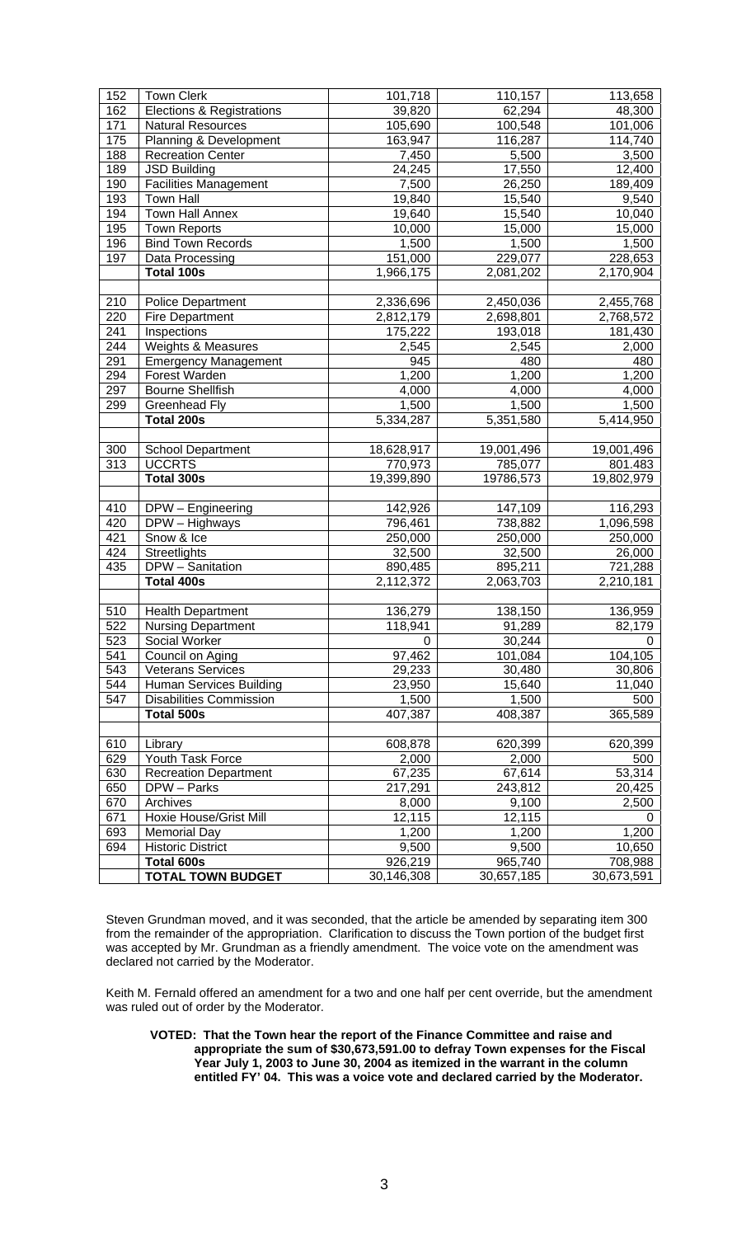| 152 | <b>Town Clerk</b>                    | 101,718    | 110,157    | 113,658    |
|-----|--------------------------------------|------------|------------|------------|
| 162 | <b>Elections &amp; Registrations</b> | 39,820     | 62,294     | 48,300     |
| 171 | Natural Resources                    | 105,690    | 100,548    | 101,006    |
| 175 | Planning & Development               | 163,947    | 116,287    | 114,740    |
| 188 | <b>Recreation Center</b>             | 7,450      | 5,500      | 3,500      |
| 189 | <b>JSD Building</b>                  | 24,245     | 17,550     | 12,400     |
| 190 | Facilities Management                | 7,500      | 26,250     | 189,409    |
| 193 | <b>Town Hall</b>                     | 19,840     | 15,540     | 9,540      |
| 194 | <b>Town Hall Annex</b>               | 19,640     | 15,540     | 10,040     |
| 195 | <b>Town Reports</b>                  | 10,000     | 15,000     | 15,000     |
| 196 | <b>Bind Town Records</b>             | 1,500      | 1,500      | 1,500      |
| 197 | Data Processing                      | 151,000    | 229,077    | 228,653    |
|     | Total 100s                           | 1,966,175  | 2,081,202  | 2,170,904  |
|     |                                      |            |            |            |
| 210 | <b>Police Department</b>             | 2,336,696  | 2,450,036  | 2,455,768  |
| 220 | <b>Fire Department</b>               | 2,812,179  | 2,698,801  | 2,768,572  |
| 241 | Inspections                          | 175,222    | 193,018    | 181,430    |
| 244 | <b>Weights &amp; Measures</b>        | 2,545      | 2,545      | 2,000      |
| 291 | <b>Emergency Management</b>          | 945        | 480        | 480        |
| 294 | Forest Warden                        | 1,200      | 1,200      | 1,200      |
| 297 | <b>Bourne Shellfish</b>              | 4,000      | 4,000      | 4,000      |
| 299 | <b>Greenhead Fly</b>                 | 1,500      | 1,500      | 1,500      |
|     | Total 200s                           | 5,334,287  | 5,351,580  | 5,414,950  |
|     |                                      |            |            |            |
| 300 | School Department                    | 18,628,917 | 19,001,496 | 19,001,496 |
| 313 | <b>UCCRTS</b>                        | 770,973    | 785,077    | 801.483    |
|     | Total 300s                           | 19,399,890 | 19786,573  | 19,802,979 |
|     |                                      |            |            |            |
| 410 | DPW - Engineering                    | 142,926    | 147,109    | 116,293    |
| 420 | DPW - Highways                       | 796,461    | 738,882    | 1,096,598  |
| 421 | Snow & Ice                           | 250,000    | 250,000    | 250,000    |
| 424 | Streetlights                         | 32,500     | 32,500     | 26,000     |
| 435 | DPW - Sanitation                     | 890,485    | 895,211    | 721,288    |
|     | Total 400s                           | 2,112,372  | 2,063,703  | 2,210,181  |
|     |                                      |            |            |            |
| 510 | <b>Health Department</b>             | 136,279    | 138,150    | 136,959    |
| 522 | <b>Nursing Department</b>            | 118,941    | 91,289     | 82,179     |
| 523 | Social Worker                        | 0          | 30,244     | 0          |
| 541 | Council on Aging                     | 97,462     | 101,084    | 104,105    |
| 543 | <b>Veterans Services</b>             | 29,233     | 30,480     | 30,806     |
| 544 | Human Services Building              | 23,950     | 15,640     | 11,040     |
| 547 | <b>Disabilities Commission</b>       | 1,500      | 1,500      | 500        |
|     | Total 500s                           | 407,387    | 408,387    | 365,589    |
|     |                                      |            |            |            |
| 610 | Library                              | 608,878    | 620,399    | 620,399    |
| 629 | Youth Task Force                     | 2,000      | 2,000      | 500        |
| 630 | <b>Recreation Department</b>         | 67,235     | 67,614     | 53,314     |
| 650 | DPW - Parks                          | 217,291    | 243,812    | 20,425     |
| 670 | Archives                             | 8,000      | 9,100      | 2,500      |
| 671 | Hoxie House/Grist Mill               | 12,115     | 12,115     | 0          |
| 693 | <b>Memorial Day</b>                  | 1,200      | 1,200      | 1,200      |
| 694 | <b>Historic District</b>             | 9,500      | 9,500      | 10,650     |
|     | Total 600s                           | 926,219    | 965,740    | 708,988    |
|     | <b>TOTAL TOWN BUDGET</b>             | 30,146,308 | 30,657,185 | 30,673,591 |

Steven Grundman moved, and it was seconded, that the article be amended by separating item 300 from the remainder of the appropriation. Clarification to discuss the Town portion of the budget first was accepted by Mr. Grundman as a friendly amendment. The voice vote on the amendment was declared not carried by the Moderator.

Keith M. Fernald offered an amendment for a two and one half per cent override, but the amendment was ruled out of order by the Moderator.

**VOTED: That the Town hear the report of the Finance Committee and raise and appropriate the sum of \$30,673,591.00 to defray Town expenses for the Fiscal Year July 1, 2003 to June 30, 2004 as itemized in the warrant in the column entitled FY' 04. This was a voice vote and declared carried by the Moderator.**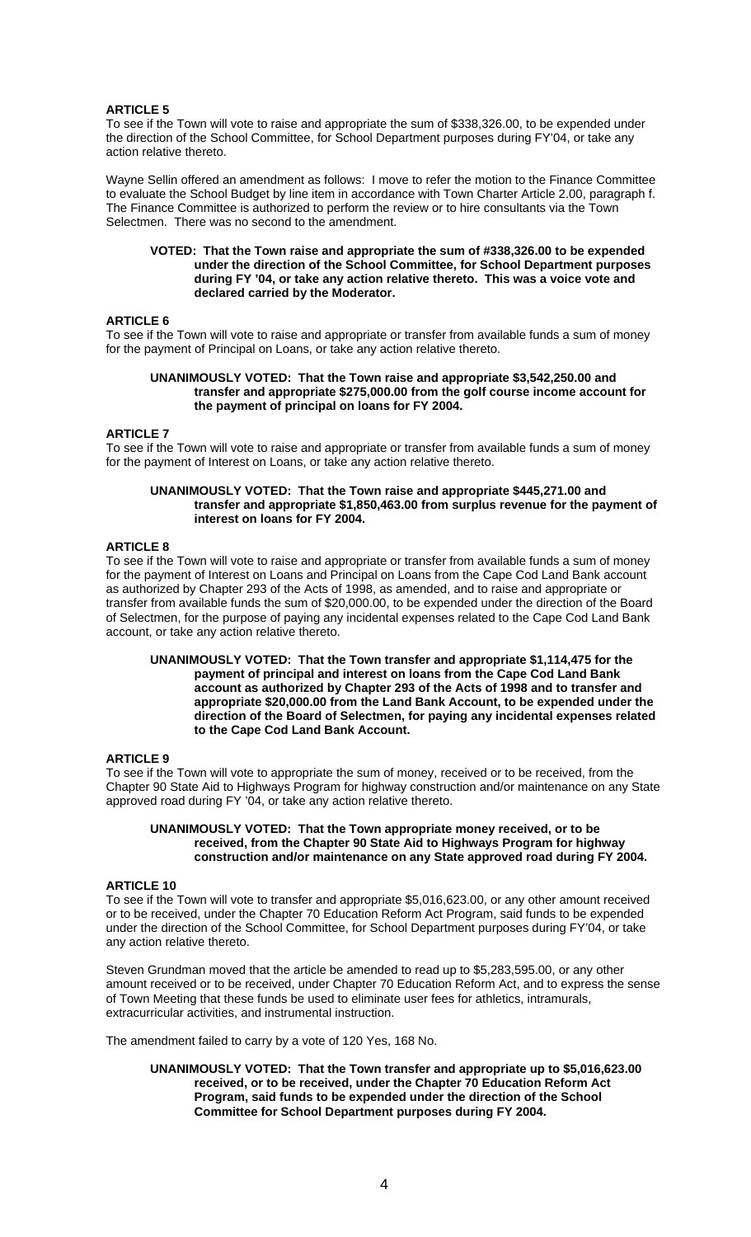To see if the Town will vote to raise and appropriate the sum of \$338,326.00, to be expended under the direction of the School Committee, for School Department purposes during FY'04, or take any action relative thereto.

Wayne Sellin offered an amendment as follows: I move to refer the motion to the Finance Committee to evaluate the School Budget by line item in accordance with Town Charter Article 2.00, paragraph f. The Finance Committee is authorized to perform the review or to hire consultants via the Town Selectmen. There was no second to the amendment.

#### **VOTED: That the Town raise and appropriate the sum of #338,326.00 to be expended under the direction of the School Committee, for School Department purposes during FY '04, or take any action relative thereto. This was a voice vote and declared carried by the Moderator.**

## **ARTICLE 6**

To see if the Town will vote to raise and appropriate or transfer from available funds a sum of money for the payment of Principal on Loans, or take any action relative thereto.

## **UNANIMOUSLY VOTED: That the Town raise and appropriate \$3,542,250.00 and transfer and appropriate \$275,000.00 from the golf course income account for the payment of principal on loans for FY 2004.**

## **ARTICLE 7**

To see if the Town will vote to raise and appropriate or transfer from available funds a sum of money for the payment of Interest on Loans, or take any action relative thereto.

#### **UNANIMOUSLY VOTED: That the Town raise and appropriate \$445,271.00 and transfer and appropriate \$1,850,463.00 from surplus revenue for the payment of interest on loans for FY 2004.**

## **ARTICLE 8**

To see if the Town will vote to raise and appropriate or transfer from available funds a sum of money for the payment of Interest on Loans and Principal on Loans from the Cape Cod Land Bank account as authorized by Chapter 293 of the Acts of 1998, as amended, and to raise and appropriate or transfer from available funds the sum of \$20,000.00, to be expended under the direction of the Board of Selectmen, for the purpose of paying any incidental expenses related to the Cape Cod Land Bank account, or take any action relative thereto.

#### **UNANIMOUSLY VOTED: That the Town transfer and appropriate \$1,114,475 for the payment of principal and interest on loans from the Cape Cod Land Bank account as authorized by Chapter 293 of the Acts of 1998 and to transfer and appropriate \$20,000.00 from the Land Bank Account, to be expended under the direction of the Board of Selectmen, for paying any incidental expenses related to the Cape Cod Land Bank Account.**

## **ARTICLE 9**

To see if the Town will vote to appropriate the sum of money, received or to be received, from the Chapter 90 State Aid to Highways Program for highway construction and/or maintenance on any State approved road during FY '04, or take any action relative thereto.

#### **UNANIMOUSLY VOTED: That the Town appropriate money received, or to be received, from the Chapter 90 State Aid to Highways Program for highway construction and/or maintenance on any State approved road during FY 2004.**

## **ARTICLE 10**

To see if the Town will vote to transfer and appropriate \$5,016,623.00, or any other amount received or to be received, under the Chapter 70 Education Reform Act Program, said funds to be expended under the direction of the School Committee, for School Department purposes during FY'04, or take any action relative thereto.

Steven Grundman moved that the article be amended to read up to \$5,283,595.00, or any other amount received or to be received, under Chapter 70 Education Reform Act, and to express the sense of Town Meeting that these funds be used to eliminate user fees for athletics, intramurals, extracurricular activities, and instrumental instruction.

The amendment failed to carry by a vote of 120 Yes, 168 No.

**UNANIMOUSLY VOTED: That the Town transfer and appropriate up to \$5,016,623.00 received, or to be received, under the Chapter 70 Education Reform Act Program, said funds to be expended under the direction of the School Committee for School Department purposes during FY 2004.**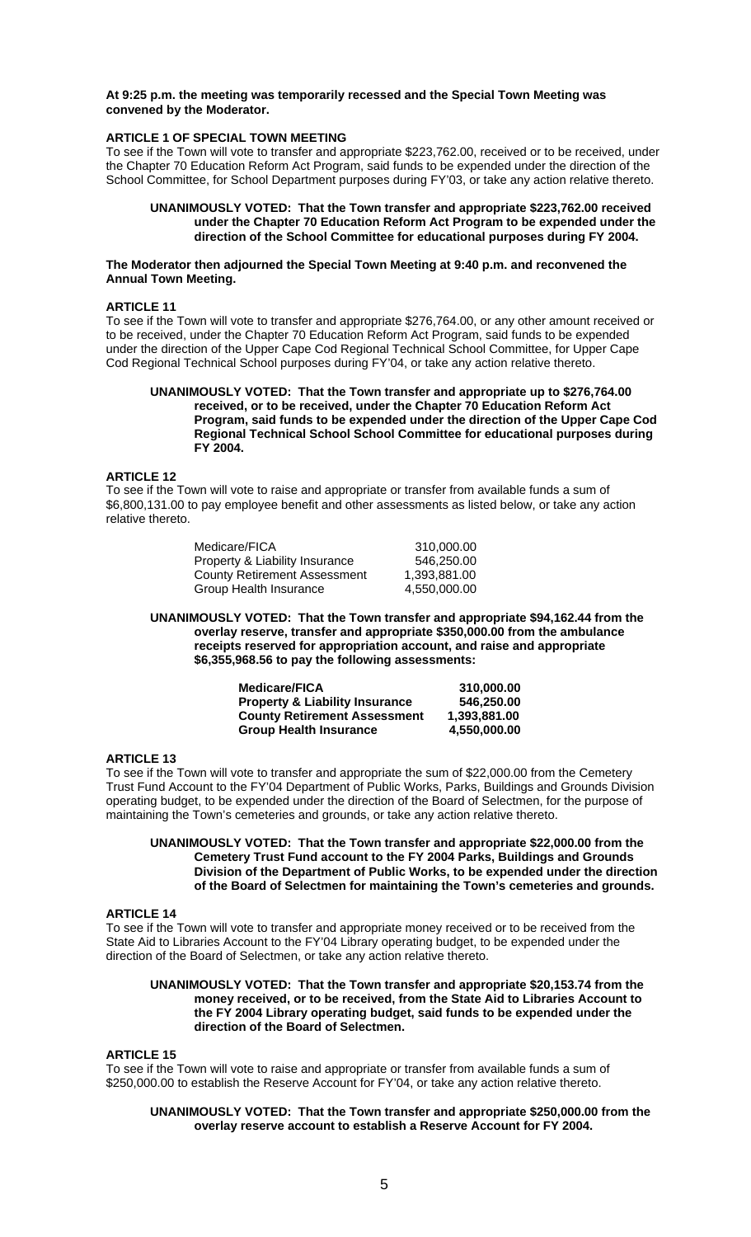## **At 9:25 p.m. the meeting was temporarily recessed and the Special Town Meeting was convened by the Moderator.**

## **ARTICLE 1 OF SPECIAL TOWN MEETING**

To see if the Town will vote to transfer and appropriate \$223,762.00, received or to be received, under the Chapter 70 Education Reform Act Program, said funds to be expended under the direction of the School Committee, for School Department purposes during FY'03, or take any action relative thereto.

## **UNANIMOUSLY VOTED: That the Town transfer and appropriate \$223,762.00 received under the Chapter 70 Education Reform Act Program to be expended under the direction of the School Committee for educational purposes during FY 2004.**

#### **The Moderator then adjourned the Special Town Meeting at 9:40 p.m. and reconvened the Annual Town Meeting.**

#### **ARTICLE 11**

To see if the Town will vote to transfer and appropriate \$276,764.00, or any other amount received or to be received, under the Chapter 70 Education Reform Act Program, said funds to be expended under the direction of the Upper Cape Cod Regional Technical School Committee, for Upper Cape Cod Regional Technical School purposes during FY'04, or take any action relative thereto.

## **UNANIMOUSLY VOTED: That the Town transfer and appropriate up to \$276,764.00 received, or to be received, under the Chapter 70 Education Reform Act Program, said funds to be expended under the direction of the Upper Cape Cod Regional Technical School School Committee for educational purposes during FY 2004.**

## **ARTICLE 12**

To see if the Town will vote to raise and appropriate or transfer from available funds a sum of \$6,800,131.00 to pay employee benefit and other assessments as listed below, or take any action relative thereto.

| Medicare/FICA                       | 310.000.00   |
|-------------------------------------|--------------|
| Property & Liability Insurance      | 546.250.00   |
| <b>County Retirement Assessment</b> | 1.393.881.00 |
| Group Health Insurance              | 4.550.000.00 |

**UNANIMOUSLY VOTED: That the Town transfer and appropriate \$94,162.44 from the overlay reserve, transfer and appropriate \$350,000.00 from the ambulance receipts reserved for appropriation account, and raise and appropriate \$6,355,968.56 to pay the following assessments:** 

| <b>Medicare/FICA</b>                      | 310.000.00   |
|-------------------------------------------|--------------|
| <b>Property &amp; Liability Insurance</b> | 546.250.00   |
| <b>County Retirement Assessment</b>       | 1.393.881.00 |
| <b>Group Health Insurance</b>             | 4,550,000.00 |

## **ARTICLE 13**

To see if the Town will vote to transfer and appropriate the sum of \$22,000.00 from the Cemetery Trust Fund Account to the FY'04 Department of Public Works, Parks, Buildings and Grounds Division operating budget, to be expended under the direction of the Board of Selectmen, for the purpose of maintaining the Town's cemeteries and grounds, or take any action relative thereto.

## **UNANIMOUSLY VOTED: That the Town transfer and appropriate \$22,000.00 from the Cemetery Trust Fund account to the FY 2004 Parks, Buildings and Grounds Division of the Department of Public Works, to be expended under the direction of the Board of Selectmen for maintaining the Town's cemeteries and grounds.**

#### **ARTICLE 14**

To see if the Town will vote to transfer and appropriate money received or to be received from the State Aid to Libraries Account to the FY'04 Library operating budget, to be expended under the direction of the Board of Selectmen, or take any action relative thereto.

#### **UNANIMOUSLY VOTED: That the Town transfer and appropriate \$20,153.74 from the money received, or to be received, from the State Aid to Libraries Account to the FY 2004 Library operating budget, said funds to be expended under the direction of the Board of Selectmen.**

## **ARTICLE 15**

To see if the Town will vote to raise and appropriate or transfer from available funds a sum of \$250,000.00 to establish the Reserve Account for FY'04, or take any action relative thereto.

## **UNANIMOUSLY VOTED: That the Town transfer and appropriate \$250,000.00 from the overlay reserve account to establish a Reserve Account for FY 2004.**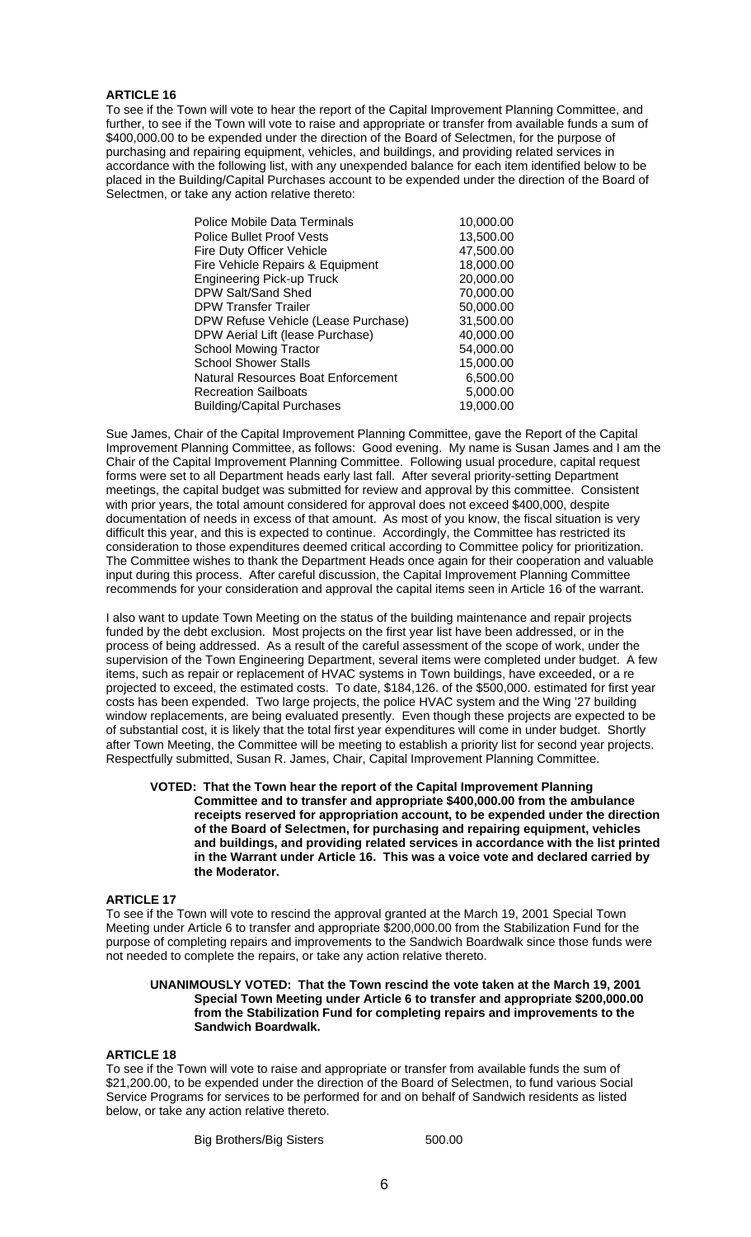To see if the Town will vote to hear the report of the Capital Improvement Planning Committee, and further, to see if the Town will vote to raise and appropriate or transfer from available funds a sum of \$400,000.00 to be expended under the direction of the Board of Selectmen, for the purpose of purchasing and repairing equipment, vehicles, and buildings, and providing related services in accordance with the following list, with any unexpended balance for each item identified below to be placed in the Building/Capital Purchases account to be expended under the direction of the Board of Selectmen, or take any action relative thereto:

| Police Mobile Data Terminals        | 10,000.00 |
|-------------------------------------|-----------|
| <b>Police Bullet Proof Vests</b>    | 13,500.00 |
| Fire Duty Officer Vehicle           | 47,500.00 |
| Fire Vehicle Repairs & Equipment    | 18,000.00 |
| <b>Engineering Pick-up Truck</b>    | 20,000.00 |
| DPW Salt/Sand Shed                  | 70,000.00 |
| <b>DPW Transfer Trailer</b>         | 50,000.00 |
| DPW Refuse Vehicle (Lease Purchase) | 31,500.00 |
| DPW Aerial Lift (lease Purchase)    | 40,000.00 |
| <b>School Mowing Tractor</b>        | 54,000.00 |
| <b>School Shower Stalls</b>         | 15,000.00 |
| Natural Resources Boat Enforcement  | 6,500.00  |
| <b>Recreation Sailboats</b>         | 5,000.00  |
| <b>Building/Capital Purchases</b>   | 19,000.00 |

Sue James, Chair of the Capital Improvement Planning Committee, gave the Report of the Capital Improvement Planning Committee, as follows: Good evening. My name is Susan James and I am the Chair of the Capital Improvement Planning Committee. Following usual procedure, capital request forms were set to all Department heads early last fall. After several priority-setting Department meetings, the capital budget was submitted for review and approval by this committee. Consistent with prior years, the total amount considered for approval does not exceed \$400,000, despite documentation of needs in excess of that amount. As most of you know, the fiscal situation is very difficult this year, and this is expected to continue. Accordingly, the Committee has restricted its consideration to those expenditures deemed critical according to Committee policy for prioritization. The Committee wishes to thank the Department Heads once again for their cooperation and valuable input during this process. After careful discussion, the Capital Improvement Planning Committee recommends for your consideration and approval the capital items seen in Article 16 of the warrant.

I also want to update Town Meeting on the status of the building maintenance and repair projects funded by the debt exclusion. Most projects on the first year list have been addressed, or in the process of being addressed. As a result of the careful assessment of the scope of work, under the supervision of the Town Engineering Department, several items were completed under budget. A few items, such as repair or replacement of HVAC systems in Town buildings, have exceeded, or a re projected to exceed, the estimated costs. To date, \$184,126. of the \$500,000. estimated for first year costs has been expended. Two large projects, the police HVAC system and the Wing '27 building window replacements, are being evaluated presently. Even though these projects are expected to be of substantial cost, it is likely that the total first year expenditures will come in under budget. Shortly after Town Meeting, the Committee will be meeting to establish a priority list for second year projects. Respectfully submitted, Susan R. James, Chair, Capital Improvement Planning Committee.

## **VOTED: That the Town hear the report of the Capital Improvement Planning Committee and to transfer and appropriate \$400,000.00 from the ambulance receipts reserved for appropriation account, to be expended under the direction of the Board of Selectmen, for purchasing and repairing equipment, vehicles and buildings, and providing related services in accordance with the list printed in the Warrant under Article 16. This was a voice vote and declared carried by the Moderator.**

## **ARTICLE 17**

To see if the Town will vote to rescind the approval granted at the March 19, 2001 Special Town Meeting under Article 6 to transfer and appropriate \$200,000.00 from the Stabilization Fund for the purpose of completing repairs and improvements to the Sandwich Boardwalk since those funds were not needed to complete the repairs, or take any action relative thereto.

#### **UNANIMOUSLY VOTED: That the Town rescind the vote taken at the March 19, 2001 Special Town Meeting under Article 6 to transfer and appropriate \$200,000.00 from the Stabilization Fund for completing repairs and improvements to the Sandwich Boardwalk.**

## **ARTICLE 18**

To see if the Town will vote to raise and appropriate or transfer from available funds the sum of \$21,200.00, to be expended under the direction of the Board of Selectmen, to fund various Social Service Programs for services to be performed for and on behalf of Sandwich residents as listed below, or take any action relative thereto.

Big Brothers/Big Sisters 500.00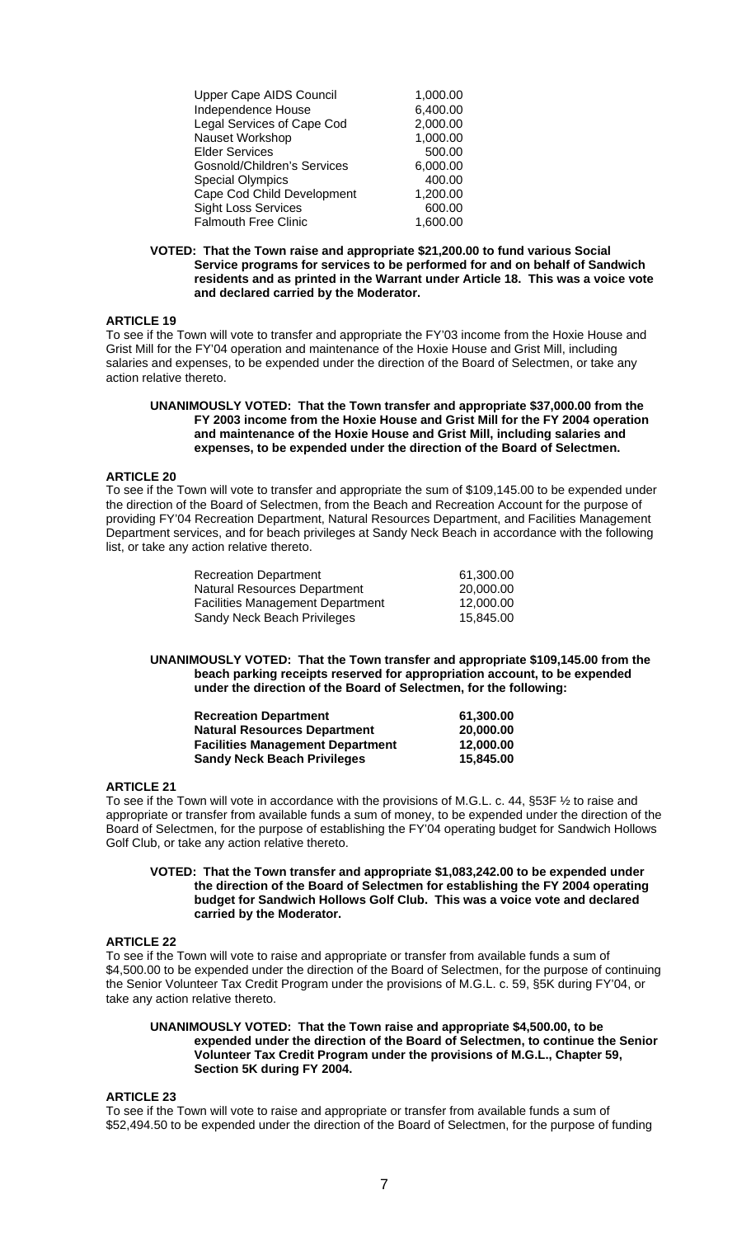| <b>Upper Cape AIDS Council</b>     | 1,000.00 |
|------------------------------------|----------|
| Independence House                 | 6,400.00 |
| Legal Services of Cape Cod         | 2,000.00 |
| Nauset Workshop                    | 1,000.00 |
| <b>Elder Services</b>              | 500.00   |
| <b>Gosnold/Children's Services</b> | 6,000.00 |
| <b>Special Olympics</b>            | 400.00   |
| Cape Cod Child Development         | 1,200.00 |
| <b>Sight Loss Services</b>         | 600.00   |
| <b>Falmouth Free Clinic</b>        | 1.600.00 |

#### **VOTED: That the Town raise and appropriate \$21,200.00 to fund various Social Service programs for services to be performed for and on behalf of Sandwich residents and as printed in the Warrant under Article 18. This was a voice vote and declared carried by the Moderator.**

## **ARTICLE 19**

To see if the Town will vote to transfer and appropriate the FY'03 income from the Hoxie House and Grist Mill for the FY'04 operation and maintenance of the Hoxie House and Grist Mill, including salaries and expenses, to be expended under the direction of the Board of Selectmen, or take any action relative thereto.

#### **UNANIMOUSLY VOTED: That the Town transfer and appropriate \$37,000.00 from the FY 2003 income from the Hoxie House and Grist Mill for the FY 2004 operation and maintenance of the Hoxie House and Grist Mill, including salaries and expenses, to be expended under the direction of the Board of Selectmen.**

## **ARTICLE 20**

To see if the Town will vote to transfer and appropriate the sum of \$109,145.00 to be expended under the direction of the Board of Selectmen, from the Beach and Recreation Account for the purpose of providing FY'04 Recreation Department, Natural Resources Department, and Facilities Management Department services, and for beach privileges at Sandy Neck Beach in accordance with the following list, or take any action relative thereto.

| <b>Recreation Department</b>            | 61.300.00 |
|-----------------------------------------|-----------|
| Natural Resources Department            | 20,000,00 |
| <b>Facilities Management Department</b> | 12.000.00 |
| Sandy Neck Beach Privileges             | 15.845.00 |

#### **UNANIMOUSLY VOTED: That the Town transfer and appropriate \$109,145.00 from the beach parking receipts reserved for appropriation account, to be expended under the direction of the Board of Selectmen, for the following:**

| <b>Recreation Department</b>            | 61.300.00 |
|-----------------------------------------|-----------|
| <b>Natural Resources Department</b>     | 20,000,00 |
| <b>Facilities Management Department</b> | 12.000.00 |
| <b>Sandy Neck Beach Privileges</b>      | 15,845,00 |

## **ARTICLE 21**

To see if the Town will vote in accordance with the provisions of M.G.L. c. 44, §53F ½ to raise and appropriate or transfer from available funds a sum of money, to be expended under the direction of the Board of Selectmen, for the purpose of establishing the FY'04 operating budget for Sandwich Hollows Golf Club, or take any action relative thereto.

## **VOTED: That the Town transfer and appropriate \$1,083,242.00 to be expended under the direction of the Board of Selectmen for establishing the FY 2004 operating budget for Sandwich Hollows Golf Club. This was a voice vote and declared carried by the Moderator.**

## **ARTICLE 22**

To see if the Town will vote to raise and appropriate or transfer from available funds a sum of \$4,500.00 to be expended under the direction of the Board of Selectmen, for the purpose of continuing the Senior Volunteer Tax Credit Program under the provisions of M.G.L. c. 59, §5K during FY'04, or take any action relative thereto.

## **UNANIMOUSLY VOTED: That the Town raise and appropriate \$4,500.00, to be expended under the direction of the Board of Selectmen, to continue the Senior Volunteer Tax Credit Program under the provisions of M.G.L., Chapter 59, Section 5K during FY 2004.**

#### **ARTICLE 23**

To see if the Town will vote to raise and appropriate or transfer from available funds a sum of \$52,494.50 to be expended under the direction of the Board of Selectmen, for the purpose of funding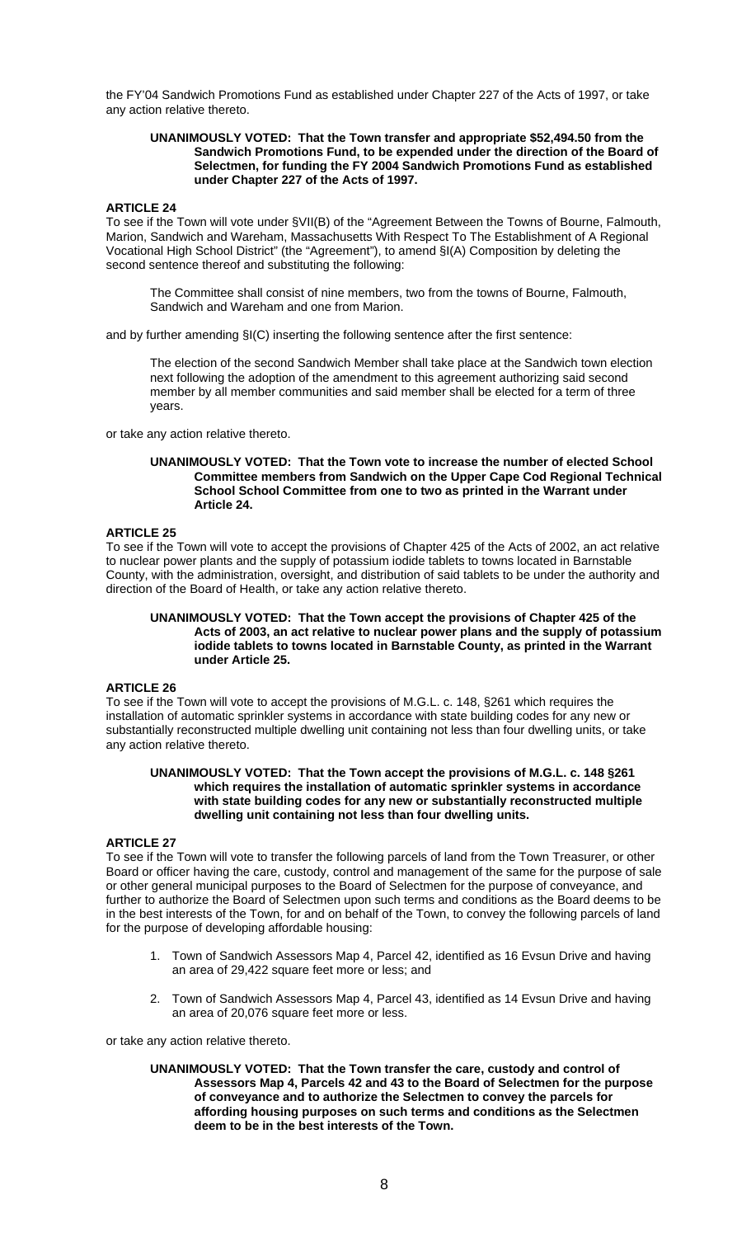the FY'04 Sandwich Promotions Fund as established under Chapter 227 of the Acts of 1997, or take any action relative thereto.

## **UNANIMOUSLY VOTED: That the Town transfer and appropriate \$52,494.50 from the Sandwich Promotions Fund, to be expended under the direction of the Board of Selectmen, for funding the FY 2004 Sandwich Promotions Fund as established under Chapter 227 of the Acts of 1997.**

## **ARTICLE 24**

To see if the Town will vote under §VII(B) of the "Agreement Between the Towns of Bourne, Falmouth, Marion, Sandwich and Wareham, Massachusetts With Respect To The Establishment of A Regional Vocational High School District" (the "Agreement"), to amend §I(A) Composition by deleting the second sentence thereof and substituting the following:

The Committee shall consist of nine members, two from the towns of Bourne, Falmouth, Sandwich and Wareham and one from Marion.

and by further amending §I(C) inserting the following sentence after the first sentence:

The election of the second Sandwich Member shall take place at the Sandwich town election next following the adoption of the amendment to this agreement authorizing said second member by all member communities and said member shall be elected for a term of three years.

or take any action relative thereto.

#### **UNANIMOUSLY VOTED: That the Town vote to increase the number of elected School Committee members from Sandwich on the Upper Cape Cod Regional Technical School School Committee from one to two as printed in the Warrant under Article 24.**

## **ARTICLE 25**

To see if the Town will vote to accept the provisions of Chapter 425 of the Acts of 2002, an act relative to nuclear power plants and the supply of potassium iodide tablets to towns located in Barnstable County, with the administration, oversight, and distribution of said tablets to be under the authority and direction of the Board of Health, or take any action relative thereto.

#### **UNANIMOUSLY VOTED: That the Town accept the provisions of Chapter 425 of the Acts of 2003, an act relative to nuclear power plans and the supply of potassium iodide tablets to towns located in Barnstable County, as printed in the Warrant under Article 25.**

## **ARTICLE 26**

To see if the Town will vote to accept the provisions of M.G.L. c. 148, §261 which requires the installation of automatic sprinkler systems in accordance with state building codes for any new or substantially reconstructed multiple dwelling unit containing not less than four dwelling units, or take any action relative thereto.

## **UNANIMOUSLY VOTED: That the Town accept the provisions of M.G.L. c. 148 §261 which requires the installation of automatic sprinkler systems in accordance with state building codes for any new or substantially reconstructed multiple dwelling unit containing not less than four dwelling units.**

## **ARTICLE 27**

To see if the Town will vote to transfer the following parcels of land from the Town Treasurer, or other Board or officer having the care, custody, control and management of the same for the purpose of sale or other general municipal purposes to the Board of Selectmen for the purpose of conveyance, and further to authorize the Board of Selectmen upon such terms and conditions as the Board deems to be in the best interests of the Town, for and on behalf of the Town, to convey the following parcels of land for the purpose of developing affordable housing:

- 1. Town of Sandwich Assessors Map 4, Parcel 42, identified as 16 Evsun Drive and having an area of 29,422 square feet more or less; and
- 2. Town of Sandwich Assessors Map 4, Parcel 43, identified as 14 Evsun Drive and having an area of 20,076 square feet more or less.

or take any action relative thereto.

**UNANIMOUSLY VOTED: That the Town transfer the care, custody and control of Assessors Map 4, Parcels 42 and 43 to the Board of Selectmen for the purpose of conveyance and to authorize the Selectmen to convey the parcels for affording housing purposes on such terms and conditions as the Selectmen deem to be in the best interests of the Town.**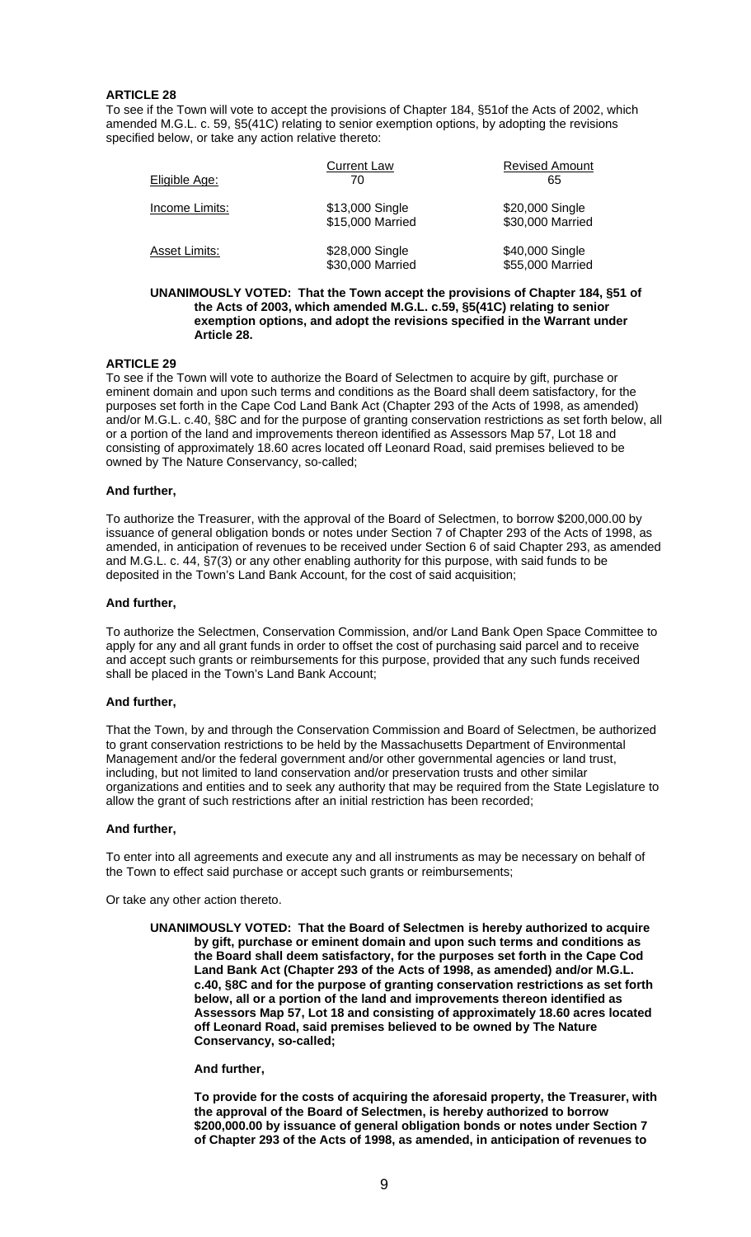To see if the Town will vote to accept the provisions of Chapter 184, §51of the Acts of 2002, which amended M.G.L. c. 59, §5(41C) relating to senior exemption options, by adopting the revisions specified below, or take any action relative thereto:

| Eligible Age:        | <b>Current Law</b><br>70            | <b>Revised Amount</b><br>65         |
|----------------------|-------------------------------------|-------------------------------------|
| Income Limits:       | \$13,000 Single<br>\$15,000 Married | \$20,000 Single<br>\$30,000 Married |
| <b>Asset Limits:</b> | \$28,000 Single<br>\$30,000 Married | \$40,000 Single<br>\$55,000 Married |
|                      |                                     |                                     |

#### **UNANIMOUSLY VOTED: That the Town accept the provisions of Chapter 184, §51 of the Acts of 2003, which amended M.G.L. c.59, §5(41C) relating to senior exemption options, and adopt the revisions specified in the Warrant under Article 28.**

## **ARTICLE 29**

To see if the Town will vote to authorize the Board of Selectmen to acquire by gift, purchase or eminent domain and upon such terms and conditions as the Board shall deem satisfactory, for the purposes set forth in the Cape Cod Land Bank Act (Chapter 293 of the Acts of 1998, as amended) and/or M.G.L. c.40, §8C and for the purpose of granting conservation restrictions as set forth below, all or a portion of the land and improvements thereon identified as Assessors Map 57, Lot 18 and consisting of approximately 18.60 acres located off Leonard Road, said premises believed to be owned by The Nature Conservancy, so-called;

## **And further,**

To authorize the Treasurer, with the approval of the Board of Selectmen, to borrow \$200,000.00 by issuance of general obligation bonds or notes under Section 7 of Chapter 293 of the Acts of 1998, as amended, in anticipation of revenues to be received under Section 6 of said Chapter 293, as amended and M.G.L. c. 44, §7(3) or any other enabling authority for this purpose, with said funds to be deposited in the Town's Land Bank Account, for the cost of said acquisition;

## **And further,**

To authorize the Selectmen, Conservation Commission, and/or Land Bank Open Space Committee to apply for any and all grant funds in order to offset the cost of purchasing said parcel and to receive and accept such grants or reimbursements for this purpose, provided that any such funds received shall be placed in the Town's Land Bank Account;

## **And further,**

That the Town, by and through the Conservation Commission and Board of Selectmen, be authorized to grant conservation restrictions to be held by the Massachusetts Department of Environmental Management and/or the federal government and/or other governmental agencies or land trust, including, but not limited to land conservation and/or preservation trusts and other similar organizations and entities and to seek any authority that may be required from the State Legislature to allow the grant of such restrictions after an initial restriction has been recorded;

## **And further,**

To enter into all agreements and execute any and all instruments as may be necessary on behalf of the Town to effect said purchase or accept such grants or reimbursements;

Or take any other action thereto.

**UNANIMOUSLY VOTED: That the Board of Selectmen is hereby authorized to acquire by gift, purchase or eminent domain and upon such terms and conditions as the Board shall deem satisfactory, for the purposes set forth in the Cape Cod Land Bank Act (Chapter 293 of the Acts of 1998, as amended) and/or M.G.L. c.40, §8C and for the purpose of granting conservation restrictions as set forth below, all or a portion of the land and improvements thereon identified as Assessors Map 57, Lot 18 and consisting of approximately 18.60 acres located off Leonard Road, said premises believed to be owned by The Nature Conservancy, so-called;** 

## **And further,**

**To provide for the costs of acquiring the aforesaid property, the Treasurer, with the approval of the Board of Selectmen, is hereby authorized to borrow \$200,000.00 by issuance of general obligation bonds or notes under Section 7 of Chapter 293 of the Acts of 1998, as amended, in anticipation of revenues to**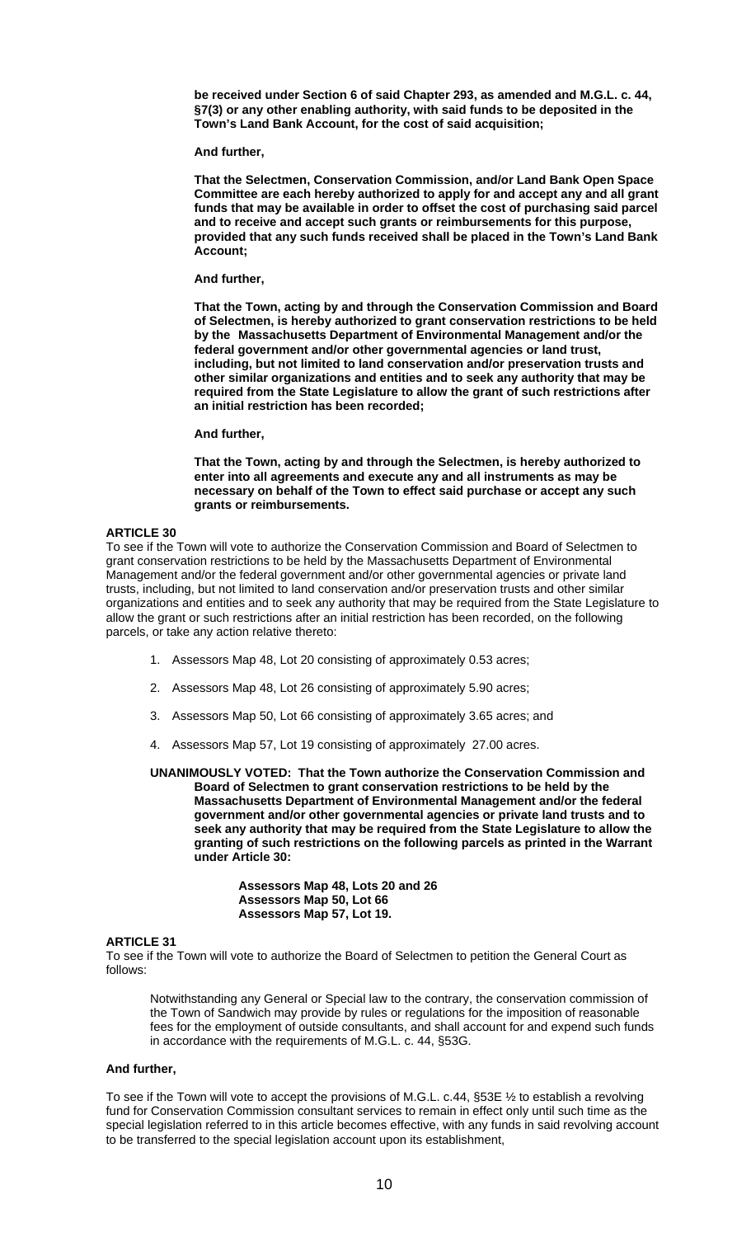**be received under Section 6 of said Chapter 293, as amended and M.G.L. c. 44, §7(3) or any other enabling authority, with said funds to be deposited in the Town's Land Bank Account, for the cost of said acquisition;** 

**And further,** 

**That the Selectmen, Conservation Commission, and/or Land Bank Open Space Committee are each hereby authorized to apply for and accept any and all grant funds that may be available in order to offset the cost of purchasing said parcel and to receive and accept such grants or reimbursements for this purpose, provided that any such funds received shall be placed in the Town's Land Bank Account;** 

**And further,** 

**That the Town, acting by and through the Conservation Commission and Board of Selectmen, is hereby authorized to grant conservation restrictions to be held by the Massachusetts Department of Environmental Management and/or the federal government and/or other governmental agencies or land trust, including, but not limited to land conservation and/or preservation trusts and other similar organizations and entities and to seek any authority that may be required from the State Legislature to allow the grant of such restrictions after an initial restriction has been recorded;** 

**And further,** 

**That the Town, acting by and through the Selectmen, is hereby authorized to enter into all agreements and execute any and all instruments as may be necessary on behalf of the Town to effect said purchase or accept any such grants or reimbursements.** 

## **ARTICLE 30**

To see if the Town will vote to authorize the Conservation Commission and Board of Selectmen to grant conservation restrictions to be held by the Massachusetts Department of Environmental Management and/or the federal government and/or other governmental agencies or private land trusts, including, but not limited to land conservation and/or preservation trusts and other similar organizations and entities and to seek any authority that may be required from the State Legislature to allow the grant or such restrictions after an initial restriction has been recorded, on the following parcels, or take any action relative thereto:

- 1. Assessors Map 48, Lot 20 consisting of approximately 0.53 acres;
- 2. Assessors Map 48, Lot 26 consisting of approximately 5.90 acres;
- 3. Assessors Map 50, Lot 66 consisting of approximately 3.65 acres; and
- 4. Assessors Map 57, Lot 19 consisting of approximately 27.00 acres.

**UNANIMOUSLY VOTED: That the Town authorize the Conservation Commission and Board of Selectmen to grant conservation restrictions to be held by the Massachusetts Department of Environmental Management and/or the federal government and/or other governmental agencies or private land trusts and to seek any authority that may be required from the State Legislature to allow the granting of such restrictions on the following parcels as printed in the Warrant under Article 30:** 

> **Assessors Map 48, Lots 20 and 26 Assessors Map 50, Lot 66 Assessors Map 57, Lot 19.**

## **ARTICLE 31**

To see if the Town will vote to authorize the Board of Selectmen to petition the General Court as follows:

Notwithstanding any General or Special law to the contrary, the conservation commission of the Town of Sandwich may provide by rules or regulations for the imposition of reasonable fees for the employment of outside consultants, and shall account for and expend such funds in accordance with the requirements of M.G.L. c. 44, §53G.

## **And further,**

To see if the Town will vote to accept the provisions of M.G.L. c.44, §53E ½ to establish a revolving fund for Conservation Commission consultant services to remain in effect only until such time as the special legislation referred to in this article becomes effective, with any funds in said revolving account to be transferred to the special legislation account upon its establishment,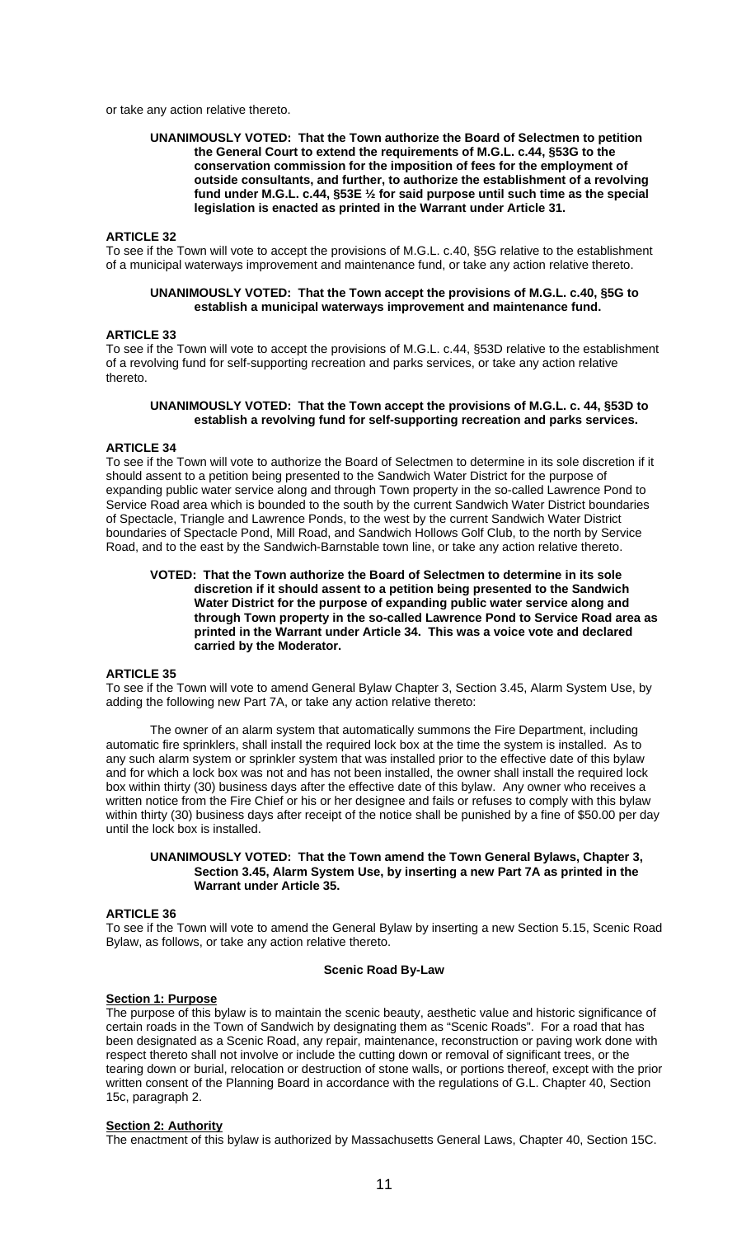or take any action relative thereto.

## **UNANIMOUSLY VOTED: That the Town authorize the Board of Selectmen to petition the General Court to extend the requirements of M.G.L. c.44, §53G to the conservation commission for the imposition of fees for the employment of outside consultants, and further, to authorize the establishment of a revolving fund under M.G.L. c.44, §53E ½ for said purpose until such time as the special legislation is enacted as printed in the Warrant under Article 31.**

#### **ARTICLE 32**

To see if the Town will vote to accept the provisions of M.G.L. c.40, §5G relative to the establishment of a municipal waterways improvement and maintenance fund, or take any action relative thereto.

#### **UNANIMOUSLY VOTED: That the Town accept the provisions of M.G.L. c.40, §5G to establish a municipal waterways improvement and maintenance fund.**

#### **ARTICLE 33**

To see if the Town will vote to accept the provisions of M.G.L. c.44, §53D relative to the establishment of a revolving fund for self-supporting recreation and parks services, or take any action relative thereto.

#### **UNANIMOUSLY VOTED: That the Town accept the provisions of M.G.L. c. 44, §53D to establish a revolving fund for self-supporting recreation and parks services.**

#### **ARTICLE 34**

To see if the Town will vote to authorize the Board of Selectmen to determine in its sole discretion if it should assent to a petition being presented to the Sandwich Water District for the purpose of expanding public water service along and through Town property in the so-called Lawrence Pond to Service Road area which is bounded to the south by the current Sandwich Water District boundaries of Spectacle, Triangle and Lawrence Ponds, to the west by the current Sandwich Water District boundaries of Spectacle Pond, Mill Road, and Sandwich Hollows Golf Club, to the north by Service Road, and to the east by the Sandwich-Barnstable town line, or take any action relative thereto.

#### **VOTED: That the Town authorize the Board of Selectmen to determine in its sole discretion if it should assent to a petition being presented to the Sandwich Water District for the purpose of expanding public water service along and through Town property in the so-called Lawrence Pond to Service Road area as printed in the Warrant under Article 34. This was a voice vote and declared carried by the Moderator.**

## **ARTICLE 35**

To see if the Town will vote to amend General Bylaw Chapter 3, Section 3.45, Alarm System Use, by adding the following new Part 7A, or take any action relative thereto:

 The owner of an alarm system that automatically summons the Fire Department, including automatic fire sprinklers, shall install the required lock box at the time the system is installed. As to any such alarm system or sprinkler system that was installed prior to the effective date of this bylaw and for which a lock box was not and has not been installed, the owner shall install the required lock box within thirty (30) business days after the effective date of this bylaw. Any owner who receives a written notice from the Fire Chief or his or her designee and fails or refuses to comply with this bylaw within thirty (30) business days after receipt of the notice shall be punished by a fine of \$50.00 per day until the lock box is installed.

## **UNANIMOUSLY VOTED: That the Town amend the Town General Bylaws, Chapter 3, Section 3.45, Alarm System Use, by inserting a new Part 7A as printed in the Warrant under Article 35.**

#### **ARTICLE 36**

To see if the Town will vote to amend the General Bylaw by inserting a new Section 5.15, Scenic Road Bylaw, as follows, or take any action relative thereto.

## **Scenic Road By-Law**

## **Section 1: Purpose**

The purpose of this bylaw is to maintain the scenic beauty, aesthetic value and historic significance of certain roads in the Town of Sandwich by designating them as "Scenic Roads". For a road that has been designated as a Scenic Road, any repair, maintenance, reconstruction or paving work done with respect thereto shall not involve or include the cutting down or removal of significant trees, or the tearing down or burial, relocation or destruction of stone walls, or portions thereof, except with the prior written consent of the Planning Board in accordance with the regulations of G.L. Chapter 40, Section 15c, paragraph 2.

## **Section 2: Authority**

The enactment of this bylaw is authorized by Massachusetts General Laws, Chapter 40, Section 15C.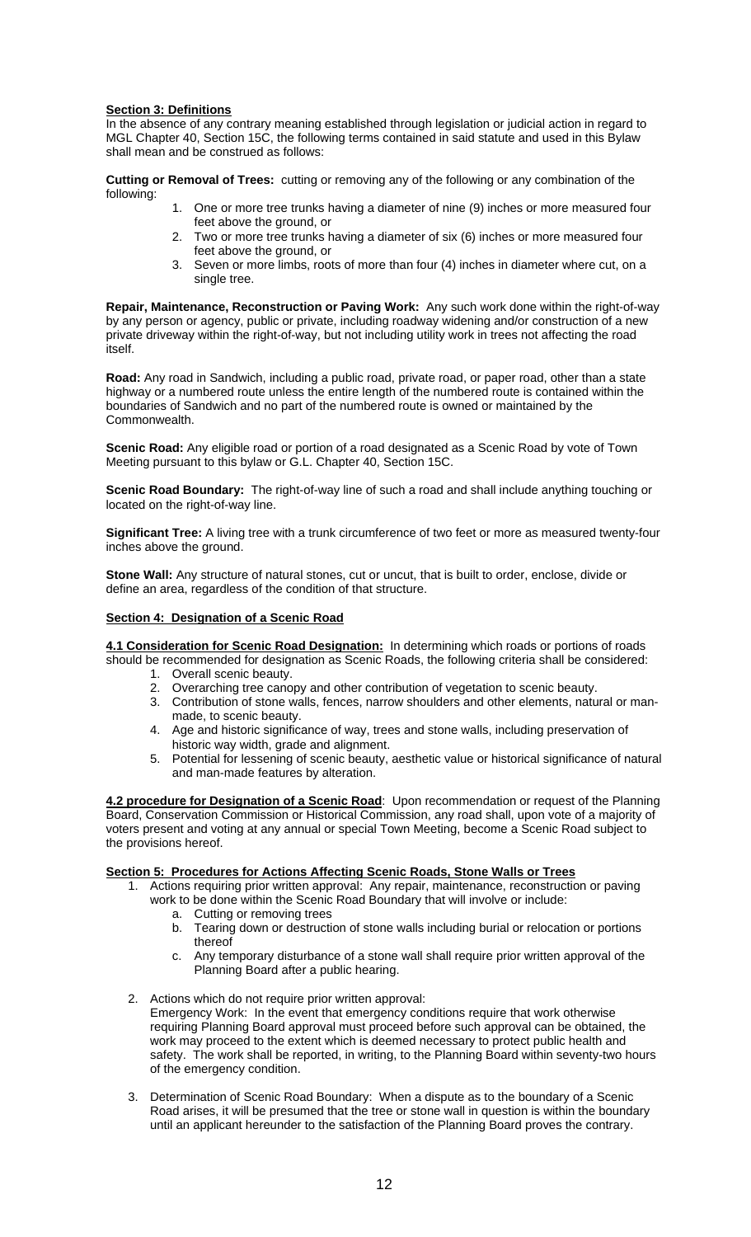## **Section 3: Definitions**

In the absence of any contrary meaning established through legislation or judicial action in regard to MGL Chapter 40, Section 15C, the following terms contained in said statute and used in this Bylaw shall mean and be construed as follows:

**Cutting or Removal of Trees:** cutting or removing any of the following or any combination of the following:

- 1. One or more tree trunks having a diameter of nine (9) inches or more measured four feet above the ground, or
- 2. Two or more tree trunks having a diameter of six (6) inches or more measured four feet above the ground, or
- 3. Seven or more limbs, roots of more than four (4) inches in diameter where cut, on a single tree.

**Repair, Maintenance, Reconstruction or Paving Work:** Any such work done within the right-of-way by any person or agency, public or private, including roadway widening and/or construction of a new private driveway within the right-of-way, but not including utility work in trees not affecting the road itself.

**Road:** Any road in Sandwich, including a public road, private road, or paper road, other than a state highway or a numbered route unless the entire length of the numbered route is contained within the boundaries of Sandwich and no part of the numbered route is owned or maintained by the Commonwealth.

**Scenic Road:** Any eligible road or portion of a road designated as a Scenic Road by vote of Town Meeting pursuant to this bylaw or G.L. Chapter 40, Section 15C.

**Scenic Road Boundary:** The right-of-way line of such a road and shall include anything touching or located on the right-of-way line.

**Significant Tree:** A living tree with a trunk circumference of two feet or more as measured twenty-four inches above the ground.

**Stone Wall:** Any structure of natural stones, cut or uncut, that is built to order, enclose, divide or define an area, regardless of the condition of that structure.

## **Section 4: Designation of a Scenic Road**

**4.1 Consideration for Scenic Road Designation:** In determining which roads or portions of roads should be recommended for designation as Scenic Roads, the following criteria shall be considered:

- 1. Overall scenic beauty.
- 2. Overarching tree canopy and other contribution of vegetation to scenic beauty.
- 3. Contribution of stone walls, fences, narrow shoulders and other elements, natural or manmade, to scenic beauty.
- 4. Age and historic significance of way, trees and stone walls, including preservation of historic way width, grade and alignment.
- 5. Potential for lessening of scenic beauty, aesthetic value or historical significance of natural and man-made features by alteration.

**4.2 procedure for Designation of a Scenic Road**: Upon recommendation or request of the Planning Board, Conservation Commission or Historical Commission, any road shall, upon vote of a majority of voters present and voting at any annual or special Town Meeting, become a Scenic Road subject to the provisions hereof.

## **Section 5: Procedures for Actions Affecting Scenic Roads, Stone Walls or Trees**

- 1. Actions requiring prior written approval: Any repair, maintenance, reconstruction or paving work to be done within the Scenic Road Boundary that will involve or include:
	- a. Cutting or removing trees
	- b. Tearing down or destruction of stone walls including burial or relocation or portions thereof
	- c. Any temporary disturbance of a stone wall shall require prior written approval of the Planning Board after a public hearing.
- 2. Actions which do not require prior written approval: Emergency Work: In the event that emergency conditions require that work otherwise requiring Planning Board approval must proceed before such approval can be obtained, the work may proceed to the extent which is deemed necessary to protect public health and safety. The work shall be reported, in writing, to the Planning Board within seventy-two hours of the emergency condition.
- 3. Determination of Scenic Road Boundary: When a dispute as to the boundary of a Scenic Road arises, it will be presumed that the tree or stone wall in question is within the boundary until an applicant hereunder to the satisfaction of the Planning Board proves the contrary.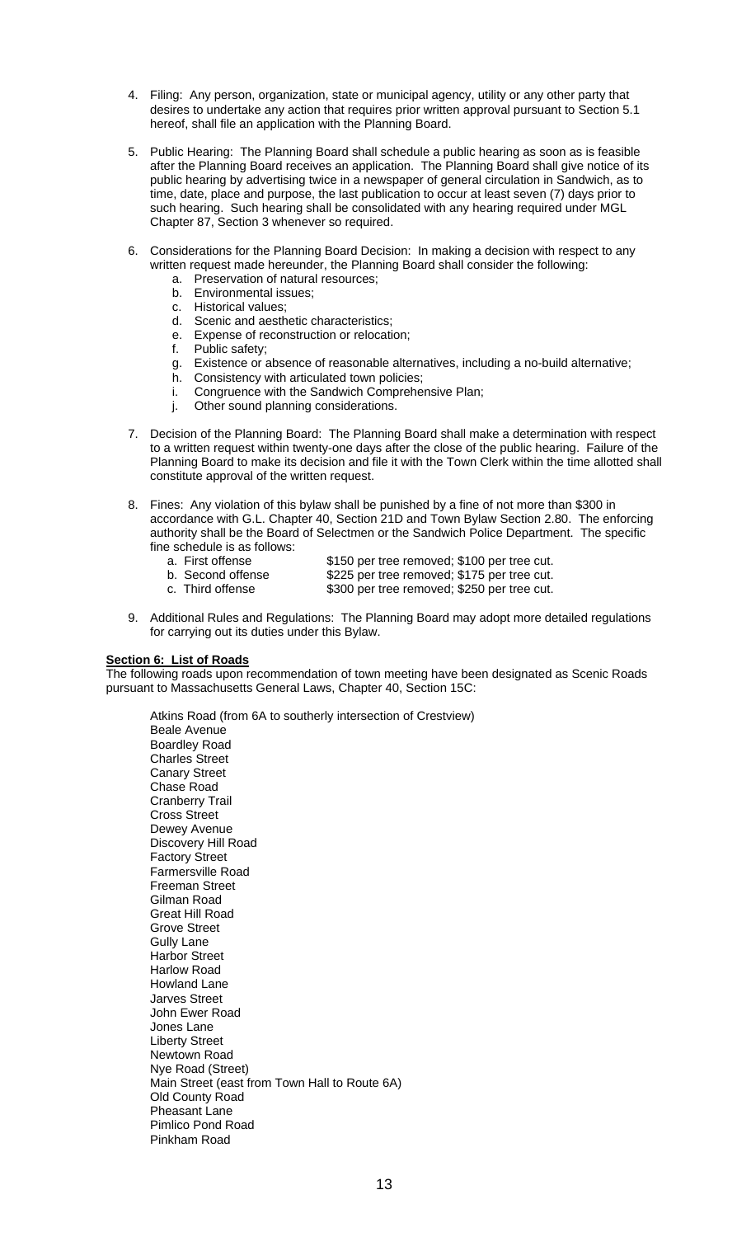- 4. Filing: Any person, organization, state or municipal agency, utility or any other party that desires to undertake any action that requires prior written approval pursuant to Section 5.1 hereof, shall file an application with the Planning Board.
- 5. Public Hearing: The Planning Board shall schedule a public hearing as soon as is feasible after the Planning Board receives an application. The Planning Board shall give notice of its public hearing by advertising twice in a newspaper of general circulation in Sandwich, as to time, date, place and purpose, the last publication to occur at least seven (7) days prior to such hearing. Such hearing shall be consolidated with any hearing required under MGL Chapter 87, Section 3 whenever so required.
- 6. Considerations for the Planning Board Decision: In making a decision with respect to any written request made hereunder, the Planning Board shall consider the following:
	- a. Preservation of natural resources;
	- b. Environmental issues;
	- c. Historical values;
	- d. Scenic and aesthetic characteristics;
	- e. Expense of reconstruction or relocation;
	- f. Public safety;
	- g. Existence or absence of reasonable alternatives, including a no-build alternative;
	- h. Consistency with articulated town policies;
	- i. Congruence with the Sandwich Comprehensive Plan;
	- j. Other sound planning considerations.
- 7. Decision of the Planning Board: The Planning Board shall make a determination with respect to a written request within twenty-one days after the close of the public hearing. Failure of the Planning Board to make its decision and file it with the Town Clerk within the time allotted shall constitute approval of the written request.
- 8. Fines: Any violation of this bylaw shall be punished by a fine of not more than \$300 in accordance with G.L. Chapter 40, Section 21D and Town Bylaw Section 2.80. The enforcing authority shall be the Board of Selectmen or the Sandwich Police Department. The specific fine schedule is as follows:
	- a. First offense \$150 per tree removed; \$100 per tree cut.<br>b. Second offense \$225 per tree removed; \$175 per tree cut. b. Second offense \$225 per tree removed; \$175 per tree cut.<br>c. Third offense \$300 per tree removed; \$250 per tree cut. \$300 per tree removed; \$250 per tree cut.
- 9. Additional Rules and Regulations: The Planning Board may adopt more detailed regulations for carrying out its duties under this Bylaw.

## **Section 6: List of Roads**

The following roads upon recommendation of town meeting have been designated as Scenic Roads pursuant to Massachusetts General Laws, Chapter 40, Section 15C:

 Atkins Road (from 6A to southerly intersection of Crestview) Beale Avenue Boardley Road Charles Street Canary Street Chase Road Cranberry Trail Cross Street Dewey Avenue Discovery Hill Road Factory Street Farmersville Road Freeman Street Gilman Road Great Hill Road Grove Street Gully Lane Harbor Street Harlow Road Howland Lane Jarves Street John Ewer Road Jones Lane Liberty Street Newtown Road Nye Road (Street) Main Street (east from Town Hall to Route 6A) Old County Road Pheasant Lane Pimlico Pond Road Pinkham Road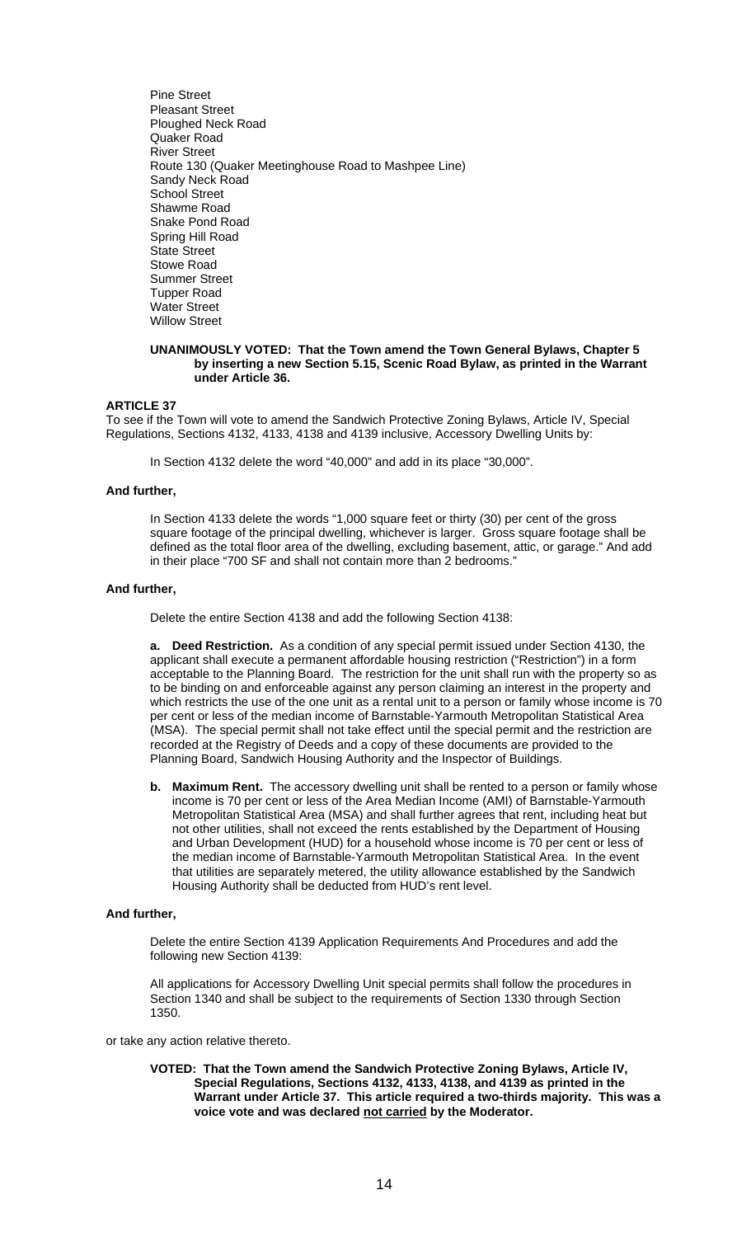Pine Street Pleasant Street Ploughed Neck Road Quaker Road River Street Route 130 (Quaker Meetinghouse Road to Mashpee Line) Sandy Neck Road School Street Shawme Road Snake Pond Road Spring Hill Road State Street Stowe Road Summer Street Tupper Road Water Street Willow Street

#### **UNANIMOUSLY VOTED: That the Town amend the Town General Bylaws, Chapter 5 by inserting a new Section 5.15, Scenic Road Bylaw, as printed in the Warrant under Article 36.**

## **ARTICLE 37**

To see if the Town will vote to amend the Sandwich Protective Zoning Bylaws, Article IV, Special Regulations, Sections 4132, 4133, 4138 and 4139 inclusive, Accessory Dwelling Units by:

In Section 4132 delete the word "40,000" and add in its place "30,000".

## **And further,**

 In Section 4133 delete the words "1,000 square feet or thirty (30) per cent of the gross square footage of the principal dwelling, whichever is larger. Gross square footage shall be defined as the total floor area of the dwelling, excluding basement, attic, or garage." And add in their place "700 SF and shall not contain more than 2 bedrooms."

## **And further,**

Delete the entire Section 4138 and add the following Section 4138:

**a. Deed Restriction.** As a condition of any special permit issued under Section 4130, the applicant shall execute a permanent affordable housing restriction ("Restriction") in a form acceptable to the Planning Board. The restriction for the unit shall run with the property so as to be binding on and enforceable against any person claiming an interest in the property and which restricts the use of the one unit as a rental unit to a person or family whose income is 70 per cent or less of the median income of Barnstable-Yarmouth Metropolitan Statistical Area (MSA). The special permit shall not take effect until the special permit and the restriction are recorded at the Registry of Deeds and a copy of these documents are provided to the Planning Board, Sandwich Housing Authority and the Inspector of Buildings.

**b. Maximum Rent.** The accessory dwelling unit shall be rented to a person or family whose income is 70 per cent or less of the Area Median Income (AMI) of Barnstable-Yarmouth Metropolitan Statistical Area (MSA) and shall further agrees that rent, including heat but not other utilities, shall not exceed the rents established by the Department of Housing and Urban Development (HUD) for a household whose income is 70 per cent or less of the median income of Barnstable-Yarmouth Metropolitan Statistical Area. In the event that utilities are separately metered, the utility allowance established by the Sandwich Housing Authority shall be deducted from HUD's rent level.

#### **And further,**

Delete the entire Section 4139 Application Requirements And Procedures and add the following new Section 4139:

 All applications for Accessory Dwelling Unit special permits shall follow the procedures in Section 1340 and shall be subject to the requirements of Section 1330 through Section 1350.

or take any action relative thereto.

**VOTED: That the Town amend the Sandwich Protective Zoning Bylaws, Article IV, Special Regulations, Sections 4132, 4133, 4138, and 4139 as printed in the Warrant under Article 37. This article required a two-thirds majority. This was a voice vote and was declared not carried by the Moderator.**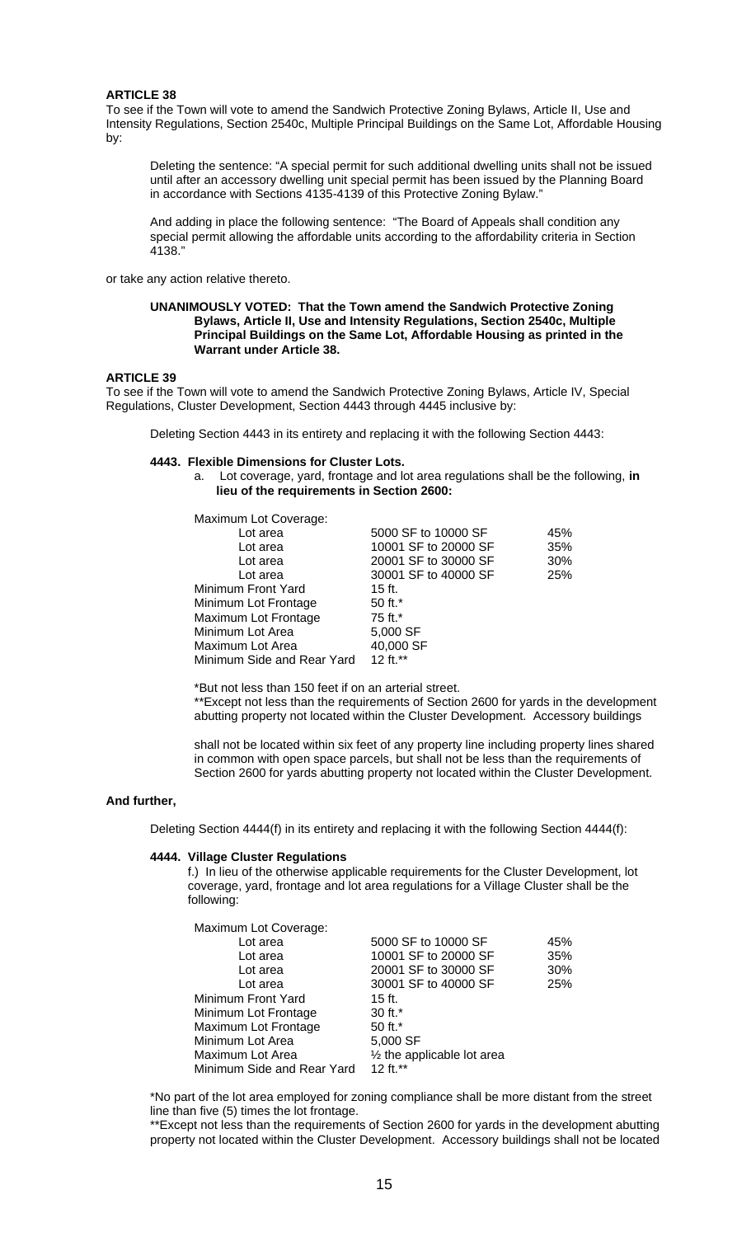To see if the Town will vote to amend the Sandwich Protective Zoning Bylaws, Article II, Use and Intensity Regulations, Section 2540c, Multiple Principal Buildings on the Same Lot, Affordable Housing by:

 Deleting the sentence: "A special permit for such additional dwelling units shall not be issued until after an accessory dwelling unit special permit has been issued by the Planning Board in accordance with Sections 4135-4139 of this Protective Zoning Bylaw."

 And adding in place the following sentence: "The Board of Appeals shall condition any special permit allowing the affordable units according to the affordability criteria in Section 4138."

or take any action relative thereto.

#### **UNANIMOUSLY VOTED: That the Town amend the Sandwich Protective Zoning Bylaws, Article II, Use and Intensity Regulations, Section 2540c, Multiple Principal Buildings on the Same Lot, Affordable Housing as printed in the Warrant under Article 38.**

#### **ARTICLE 39**

To see if the Town will vote to amend the Sandwich Protective Zoning Bylaws, Article IV, Special Regulations, Cluster Development, Section 4443 through 4445 inclusive by:

Deleting Section 4443 in its entirety and replacing it with the following Section 4443:

#### **4443. Flexible Dimensions for Cluster Lots.**

a. Lot coverage, yard, frontage and lot area regulations shall be the following, **in lieu of the requirements in Section 2600:** 

Maximum Lot Coverage:

| Lot area                   | 5000 SF to 10000 SF  | 45% |
|----------------------------|----------------------|-----|
| Lot area                   | 10001 SF to 20000 SF | 35% |
| Lot area                   | 20001 SF to 30000 SF | 30% |
| Lot area                   | 30001 SF to 40000 SF | 25% |
| Minimum Front Yard         | $15$ ft.             |     |
| Minimum Lot Frontage       | 50 ft.*              |     |
| Maximum Lot Frontage       | 75 ft.*              |     |
| Minimum Lot Area           | 5,000 SF             |     |
| Maximum Lot Area           | 40,000 SF            |     |
| Minimum Side and Rear Yard | 12 ft.**             |     |
|                            |                      |     |

\*But not less than 150 feet if on an arterial street.

 \*\*Except not less than the requirements of Section 2600 for yards in the development abutting property not located within the Cluster Development. Accessory buildings

 shall not be located within six feet of any property line including property lines shared in common with open space parcels, but shall not be less than the requirements of Section 2600 for yards abutting property not located within the Cluster Development.

## **And further,**

Deleting Section 4444(f) in its entirety and replacing it with the following Section 4444(f):

## **4444. Village Cluster Regulations**

f.) In lieu of the otherwise applicable requirements for the Cluster Development, lot coverage, yard, frontage and lot area regulations for a Village Cluster shall be the following:

| Maximum Lot Coverage:      |                             |     |
|----------------------------|-----------------------------|-----|
| Lot area                   | 5000 SF to 10000 SF         | 45% |
| Lot area                   | 10001 SF to 20000 SF        | 35% |
| Lot area                   | 20001 SF to 30000 SF        | 30% |
| Lot area                   | 30001 SF to 40000 SF        | 25% |
| Minimum Front Yard         | $15$ ft.                    |     |
| Minimum Lot Frontage       | 30 ft.*                     |     |
| Maximum Lot Frontage       | 50 ft.*                     |     |
| Minimum Lot Area           | 5,000 SF                    |     |
| Maximum Lot Area           | 1/2 the applicable lot area |     |
| Minimum Side and Rear Yard | 12 ft. $**$                 |     |

\*No part of the lot area employed for zoning compliance shall be more distant from the street line than five (5) times the lot frontage.

\*\*Except not less than the requirements of Section 2600 for yards in the development abutting property not located within the Cluster Development. Accessory buildings shall not be located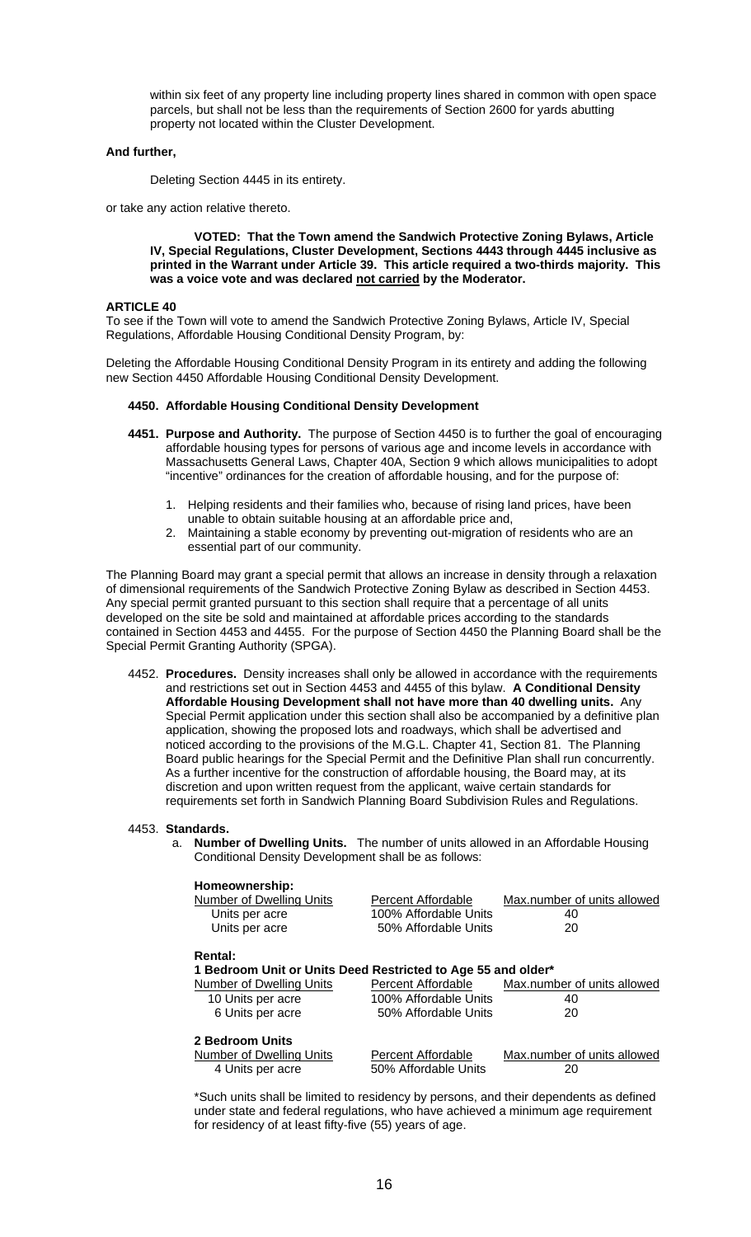within six feet of any property line including property lines shared in common with open space parcels, but shall not be less than the requirements of Section 2600 for yards abutting property not located within the Cluster Development.

## **And further,**

Deleting Section 4445 in its entirety.

or take any action relative thereto.

**VOTED: That the Town amend the Sandwich Protective Zoning Bylaws, Article IV, Special Regulations, Cluster Development, Sections 4443 through 4445 inclusive as printed in the Warrant under Article 39. This article required a two-thirds majority. This was a voice vote and was declared not carried by the Moderator.** 

#### **ARTICLE 40**

To see if the Town will vote to amend the Sandwich Protective Zoning Bylaws, Article IV, Special Regulations, Affordable Housing Conditional Density Program, by:

Deleting the Affordable Housing Conditional Density Program in its entirety and adding the following new Section 4450 Affordable Housing Conditional Density Development.

## **4450. Affordable Housing Conditional Density Development**

- **4451. Purpose and Authority.** The purpose of Section 4450 is to further the goal of encouraging affordable housing types for persons of various age and income levels in accordance with Massachusetts General Laws, Chapter 40A, Section 9 which allows municipalities to adopt "incentive" ordinances for the creation of affordable housing, and for the purpose of:
	- 1. Helping residents and their families who, because of rising land prices, have been unable to obtain suitable housing at an affordable price and,
	- 2. Maintaining a stable economy by preventing out-migration of residents who are an essential part of our community.

The Planning Board may grant a special permit that allows an increase in density through a relaxation of dimensional requirements of the Sandwich Protective Zoning Bylaw as described in Section 4453. Any special permit granted pursuant to this section shall require that a percentage of all units developed on the site be sold and maintained at affordable prices according to the standards contained in Section 4453 and 4455. For the purpose of Section 4450 the Planning Board shall be the Special Permit Granting Authority (SPGA).

4452. **Procedures.** Density increases shall only be allowed in accordance with the requirements and restrictions set out in Section 4453 and 4455 of this bylaw. **A Conditional Density Affordable Housing Development shall not have more than 40 dwelling units.** Any Special Permit application under this section shall also be accompanied by a definitive plan application, showing the proposed lots and roadways, which shall be advertised and noticed according to the provisions of the M.G.L. Chapter 41, Section 81. The Planning Board public hearings for the Special Permit and the Definitive Plan shall run concurrently. As a further incentive for the construction of affordable housing, the Board may, at its discretion and upon written request from the applicant, waive certain standards for requirements set forth in Sandwich Planning Board Subdivision Rules and Regulations.

#### 4453. **Standards.**

a. **Number of Dwelling Units.** The number of units allowed in an Affordable Housing Conditional Density Development shall be as follows:

| Homeownership:<br><b>Number of Dwelling Units</b><br>Units per acre<br>Units per acre | Percent Affordable<br>100% Affordable Units<br>50% Affordable Units | Max.number of units allowed<br>40<br>20 |
|---------------------------------------------------------------------------------------|---------------------------------------------------------------------|-----------------------------------------|
| <b>Rental:</b>                                                                        | 1 Bedroom Unit or Units Deed Restricted to Age 55 and older*        |                                         |
| Number of Dwelling Units<br>10 Units per acre<br>6 Units per acre                     | Percent Affordable<br>100% Affordable Units<br>50% Affordable Units | Max.number of units allowed<br>40<br>20 |
| 2 Bedroom Units<br>Number of Dwelling Units<br>4 Units per acre                       | Percent Affordable<br>50% Affordable Units                          | Max.number of units allowed<br>20       |

 \*Such units shall be limited to residency by persons, and their dependents as defined under state and federal regulations, who have achieved a minimum age requirement for residency of at least fifty-five (55) years of age.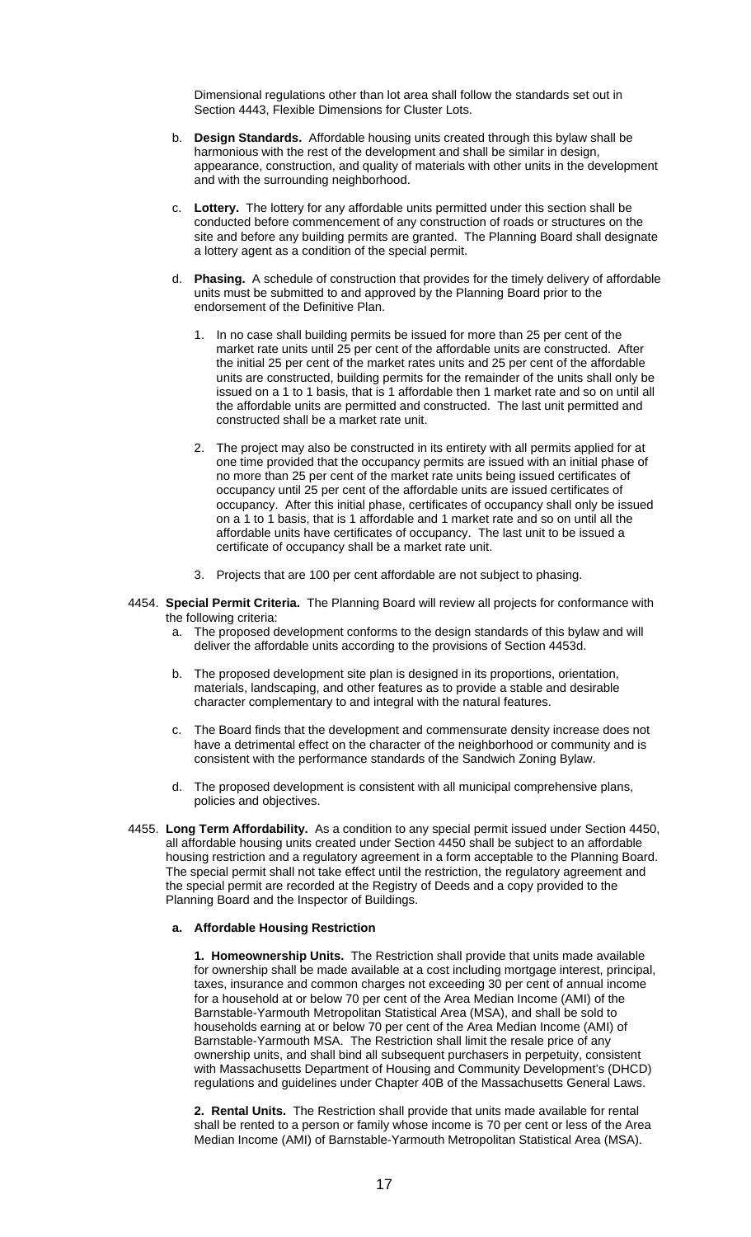Dimensional regulations other than lot area shall follow the standards set out in Section 4443, Flexible Dimensions for Cluster Lots.

- b. **Design Standards.** Affordable housing units created through this bylaw shall be harmonious with the rest of the development and shall be similar in design, appearance, construction, and quality of materials with other units in the development and with the surrounding neighborhood.
- c. **Lottery.** The lottery for any affordable units permitted under this section shall be conducted before commencement of any construction of roads or structures on the site and before any building permits are granted. The Planning Board shall designate a lottery agent as a condition of the special permit.
- d. **Phasing.** A schedule of construction that provides for the timely delivery of affordable units must be submitted to and approved by the Planning Board prior to the endorsement of the Definitive Plan.
	- 1. In no case shall building permits be issued for more than 25 per cent of the market rate units until 25 per cent of the affordable units are constructed. After the initial 25 per cent of the market rates units and 25 per cent of the affordable units are constructed, building permits for the remainder of the units shall only be issued on a 1 to 1 basis, that is 1 affordable then 1 market rate and so on until all the affordable units are permitted and constructed. The last unit permitted and constructed shall be a market rate unit.
	- 2. The project may also be constructed in its entirety with all permits applied for at one time provided that the occupancy permits are issued with an initial phase of no more than 25 per cent of the market rate units being issued certificates of occupancy until 25 per cent of the affordable units are issued certificates of occupancy. After this initial phase, certificates of occupancy shall only be issued on a 1 to 1 basis, that is 1 affordable and 1 market rate and so on until all the affordable units have certificates of occupancy. The last unit to be issued a certificate of occupancy shall be a market rate unit.
	- 3. Projects that are 100 per cent affordable are not subject to phasing.
- 4454. **Special Permit Criteria.** The Planning Board will review all projects for conformance with the following criteria:
	- a. The proposed development conforms to the design standards of this bylaw and will deliver the affordable units according to the provisions of Section 4453d.
	- b. The proposed development site plan is designed in its proportions, orientation, materials, landscaping, and other features as to provide a stable and desirable character complementary to and integral with the natural features.
	- c. The Board finds that the development and commensurate density increase does not have a detrimental effect on the character of the neighborhood or community and is consistent with the performance standards of the Sandwich Zoning Bylaw.
	- d. The proposed development is consistent with all municipal comprehensive plans, policies and objectives.
- 4455. **Long Term Affordability.** As a condition to any special permit issued under Section 4450, all affordable housing units created under Section 4450 shall be subject to an affordable housing restriction and a regulatory agreement in a form acceptable to the Planning Board. The special permit shall not take effect until the restriction, the regulatory agreement and the special permit are recorded at the Registry of Deeds and a copy provided to the Planning Board and the Inspector of Buildings.

## **a. Affordable Housing Restriction**

**1. Homeownership Units.** The Restriction shall provide that units made available for ownership shall be made available at a cost including mortgage interest, principal, taxes, insurance and common charges not exceeding 30 per cent of annual income for a household at or below 70 per cent of the Area Median Income (AMI) of the Barnstable-Yarmouth Metropolitan Statistical Area (MSA), and shall be sold to households earning at or below 70 per cent of the Area Median Income (AMI) of Barnstable-Yarmouth MSA. The Restriction shall limit the resale price of any ownership units, and shall bind all subsequent purchasers in perpetuity, consistent with Massachusetts Department of Housing and Community Development's (DHCD) regulations and guidelines under Chapter 40B of the Massachusetts General Laws.

**2. Rental Units.** The Restriction shall provide that units made available for rental shall be rented to a person or family whose income is 70 per cent or less of the Area Median Income (AMI) of Barnstable-Yarmouth Metropolitan Statistical Area (MSA).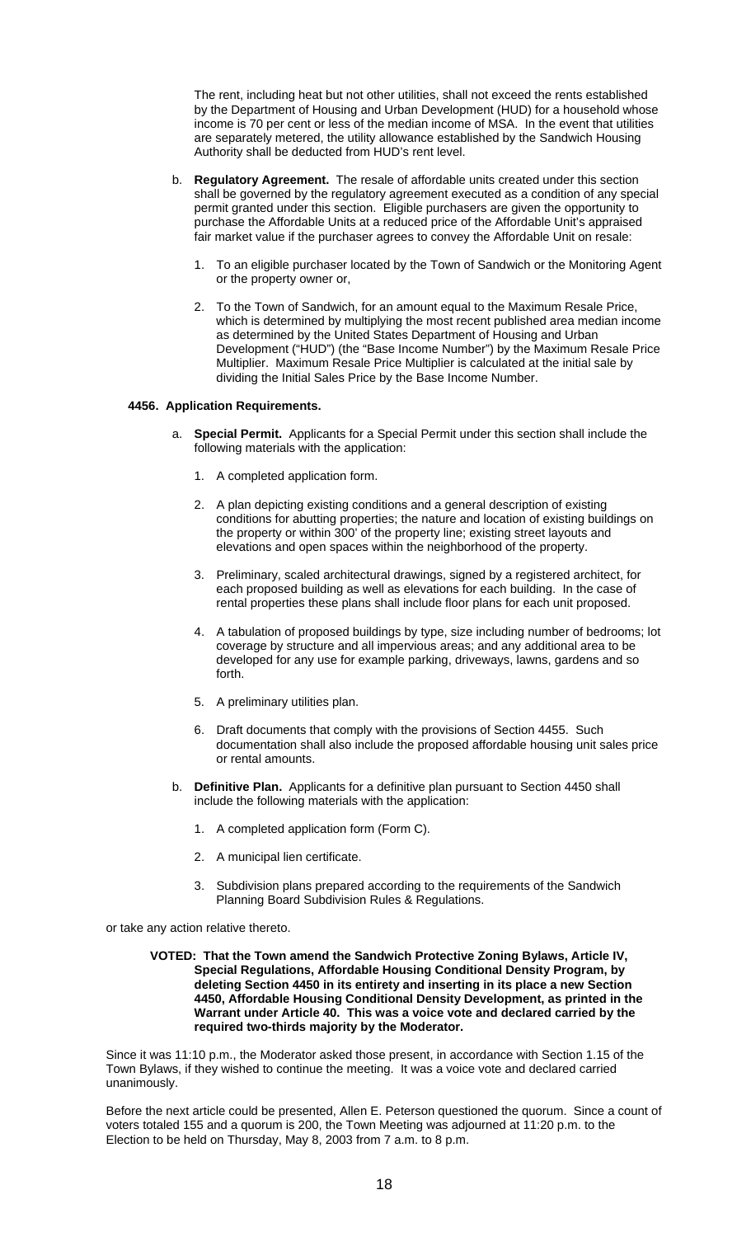The rent, including heat but not other utilities, shall not exceed the rents established by the Department of Housing and Urban Development (HUD) for a household whose income is 70 per cent or less of the median income of MSA. In the event that utilities are separately metered, the utility allowance established by the Sandwich Housing Authority shall be deducted from HUD's rent level.

- b. **Regulatory Agreement.** The resale of affordable units created under this section shall be governed by the regulatory agreement executed as a condition of any special permit granted under this section. Eligible purchasers are given the opportunity to purchase the Affordable Units at a reduced price of the Affordable Unit's appraised fair market value if the purchaser agrees to convey the Affordable Unit on resale:
	- 1. To an eligible purchaser located by the Town of Sandwich or the Monitoring Agent or the property owner or,
	- 2. To the Town of Sandwich, for an amount equal to the Maximum Resale Price, which is determined by multiplying the most recent published area median income as determined by the United States Department of Housing and Urban Development ("HUD") (the "Base Income Number") by the Maximum Resale Price Multiplier. Maximum Resale Price Multiplier is calculated at the initial sale by dividing the Initial Sales Price by the Base Income Number.

## **4456. Application Requirements.**

- a. **Special Permit.** Applicants for a Special Permit under this section shall include the following materials with the application:
	- 1. A completed application form.
	- 2. A plan depicting existing conditions and a general description of existing conditions for abutting properties; the nature and location of existing buildings on the property or within 300' of the property line; existing street layouts and elevations and open spaces within the neighborhood of the property.
	- 3. Preliminary, scaled architectural drawings, signed by a registered architect, for each proposed building as well as elevations for each building. In the case of rental properties these plans shall include floor plans for each unit proposed.
	- 4. A tabulation of proposed buildings by type, size including number of bedrooms; lot coverage by structure and all impervious areas; and any additional area to be developed for any use for example parking, driveways, lawns, gardens and so forth.
	- 5. A preliminary utilities plan.
	- 6. Draft documents that comply with the provisions of Section 4455. Such documentation shall also include the proposed affordable housing unit sales price or rental amounts.
- b. **Definitive Plan.** Applicants for a definitive plan pursuant to Section 4450 shall include the following materials with the application:
	- 1. A completed application form (Form C).
	- 2. A municipal lien certificate.
	- 3. Subdivision plans prepared according to the requirements of the Sandwich Planning Board Subdivision Rules & Regulations.

or take any action relative thereto.

#### **VOTED: That the Town amend the Sandwich Protective Zoning Bylaws, Article IV, Special Regulations, Affordable Housing Conditional Density Program, by deleting Section 4450 in its entirety and inserting in its place a new Section 4450, Affordable Housing Conditional Density Development, as printed in the Warrant under Article 40. This was a voice vote and declared carried by the required two-thirds majority by the Moderator.**

Since it was 11:10 p.m., the Moderator asked those present, in accordance with Section 1.15 of the Town Bylaws, if they wished to continue the meeting. It was a voice vote and declared carried unanimously.

Before the next article could be presented, Allen E. Peterson questioned the quorum. Since a count of voters totaled 155 and a quorum is 200, the Town Meeting was adjourned at 11:20 p.m. to the Election to be held on Thursday, May 8, 2003 from 7 a.m. to 8 p.m.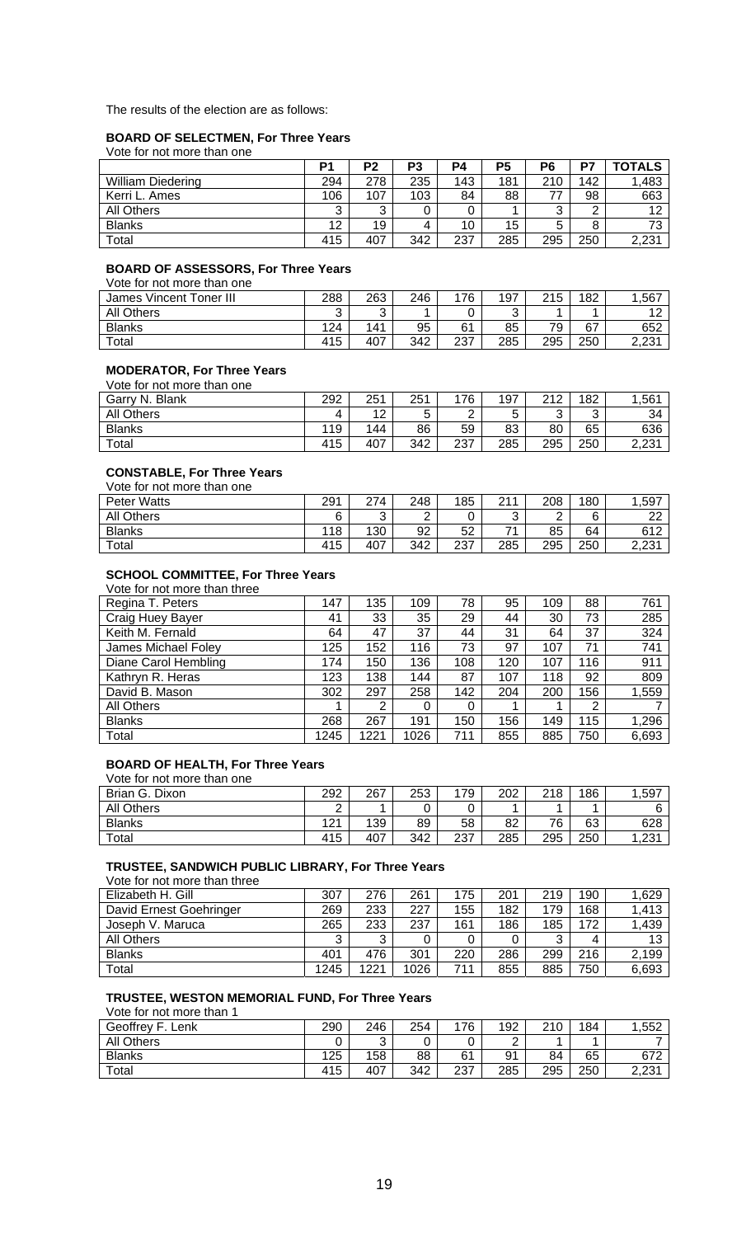The results of the election are as follows:

## **BOARD OF SELECTMEN, For Three Years**

Vote for not more than one

|                          | P1     | P2     | P3  | P4  | P5  | P6     | P7  | <b>TOTALS</b> |
|--------------------------|--------|--------|-----|-----|-----|--------|-----|---------------|
| <b>William Diedering</b> | 294    | 278    | 235 | 143 | 181 | 210    | 142 | 1,483         |
| Kerri L. Ames            | 106    | 107    | 103 | 84  | 88  | 77     | 98  | 663           |
| All Others               | ົ<br>ີ | っ<br>ັ |     |     |     | າ<br>J | ◠   | 12            |
| <b>Blanks</b>            | 12     | 19     | 4   | 10  | 15  | 5      |     | 73            |
| Total                    | 415    | 407    | 342 | 237 | 285 | 295    | 250 | 2,231         |

## **BOARD OF ASSESSORS, For Three Years**

Vote for not more than one

| James Vincent Toner III | 288 | 263    | 246 | 176 | 197    | 215 | 182 | ,567  |
|-------------------------|-----|--------|-----|-----|--------|-----|-----|-------|
| <b>All Others</b>       | ົ   | ົ<br>ບ |     |     | ົ<br>ັ |     |     | 10    |
| <b>Blanks</b>           | 124 | 141    | 95  | 61  | 85     | 79  | 67  | 652   |
| Total                   | 415 | 407    | 342 | 237 | 285    | 295 | 250 | 2,231 |

## **MODERATOR, For Three Years**

| Vote for not more than one |     |     |     |     |     |     |        |                |
|----------------------------|-----|-----|-----|-----|-----|-----|--------|----------------|
| Garry N. Blank             | 292 | 251 | 251 | 176 | 197 | 212 | 182    | ,561           |
| All Others                 |     | 12  |     |     | ∽   | ົ   | ⌒<br>ັ | 34             |
| <b>Blanks</b>              | 119 | 144 | 86  | 59  | 83  | 80  | 65     | 636            |
| Total                      | 415 | 407 | 342 | 237 | 285 | 295 | 250    | 2021 כ<br>د.د. |

# **CONSTABLE, For Three Years**

| Vote for not more than one |     |        |     |     |        |        |     |          |
|----------------------------|-----|--------|-----|-----|--------|--------|-----|----------|
| Peter Watts                | 291 | 274    | 248 | 185 | 211    | 208    | 180 | ,597     |
| All Others                 |     | ົ<br>ັ | ⌒   |     | ົ<br>ັ | ◠<br>- |     | ററ<br>∠∠ |
| <b>Blanks</b>              | 118 | 130    | 92  | 52  | 71     | 85     | 64  | 612      |
| Total                      | 415 | 407    | 342 | 237 | 285    | 295    | 250 | 2,231    |

## **SCHOOL COMMITTEE, For Three Years**

Vote for not more than three

| Regina T. Peters     | 147  | 135  | 109  | 78  | 95  | 109 | 88  | 761   |
|----------------------|------|------|------|-----|-----|-----|-----|-------|
| Craig Huey Bayer     | 41   | 33   | 35   | 29  | 44  | 30  | 73  | 285   |
| Keith M. Fernald     | 64   | 47   | 37   | 44  | 31  | 64  | 37  | 324   |
| James Michael Foley  | 125  | 152  | 116  | 73  | 97  | 107 | 71  | 741   |
| Diane Carol Hembling | 174  | 150  | 136  | 108 | 120 | 107 | 116 | 911   |
| Kathryn R. Heras     | 123  | 138  | 144  | 87  | 107 | 118 | 92  | 809   |
| David B. Mason       | 302  | 297  | 258  | 142 | 204 | 200 | 156 | 1,559 |
| All Others           |      | 2    |      | 0   |     |     | 2   |       |
| <b>Blanks</b>        | 268  | 267  | 191  | 150 | 156 | 149 | 115 | 1,296 |
| Total                | 1245 | 1221 | 1026 | 711 | 855 | 885 | 750 | 6,693 |

## **BOARD OF HEALTH, For Three Years**

Vote for not more than one

| Dixon<br>Brian G. | 292 | 267 | 253 | 79  | 202 | 218 | 186 | ,597 |
|-------------------|-----|-----|-----|-----|-----|-----|-----|------|
| <b>All Others</b> | ີ   |     |     |     |     |     |     | 6    |
| <b>Blanks</b>     | 121 | 139 | 89  | 58  | 82  | 76  | 63  | 628  |
| Total             | 415 | 407 | 342 | 237 | 285 | 295 | 250 | ,231 |

## **TRUSTEE, SANDWICH PUBLIC LIBRARY, For Three Years**

Vote for not more than three

| Elizabeth H. Gill       | 307  | 276  | 261  | 175 | 201 | 219 | 190 | 1,629 |
|-------------------------|------|------|------|-----|-----|-----|-----|-------|
| David Ernest Goehringer | 269  | 233  | 227  | 155 | 182 | 179 | 168 | 1,413 |
| Joseph V. Maruca        | 265  | 233  | 237  | 161 | 186 | 185 | 172 | 1,439 |
| All Others              | ⌒    | ົ    |      |     |     | ◠   |     | 13    |
| <b>Blanks</b>           | 401  | 476  | 301  | 220 | 286 | 299 | 216 | 2,199 |
| $\tau$ otal             | 1245 | 1221 | 1026 | 711 | 855 | 885 | 750 | 6,693 |

## **TRUSTEE, WESTON MEMORIAL FUND, For Three Years**

Vote for not more than 1

| Geoffrey F.<br>Lenk | 290 | 246    | 254 | 176 | 192 | 210 | 184 | ,552            |
|---------------------|-----|--------|-----|-----|-----|-----|-----|-----------------|
| <b>All Others</b>   |     | ⌒<br>ັ |     |     | ⌒   |     |     |                 |
| <b>Blanks</b>       | 125 | 158    | 88  | 61  | 91  | 84  | 65  | 672             |
| Total               | 415 | 407    | 342 | 237 | 285 | 295 | 250 | 2.231<br>۱ ت.∠2 |